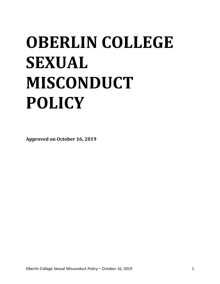# **OBERLIN COLLEGE SEXUAL MISCONDUCT POLICY**

**Approved on October 16, 2019**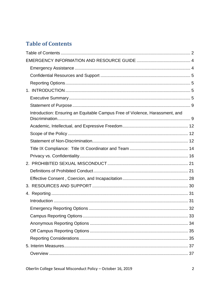# <span id="page-1-0"></span>**Table of Contents**

| Introduction: Ensuring an Equitable Campus Free of Violence, Harassment, and |  |
|------------------------------------------------------------------------------|--|
|                                                                              |  |
|                                                                              |  |
|                                                                              |  |
|                                                                              |  |
|                                                                              |  |
|                                                                              |  |
|                                                                              |  |
|                                                                              |  |
|                                                                              |  |
|                                                                              |  |
|                                                                              |  |
|                                                                              |  |
|                                                                              |  |
|                                                                              |  |
|                                                                              |  |
|                                                                              |  |
|                                                                              |  |
|                                                                              |  |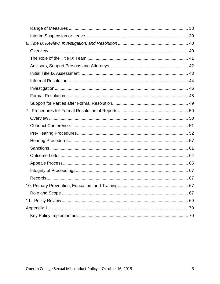<span id="page-2-0"></span>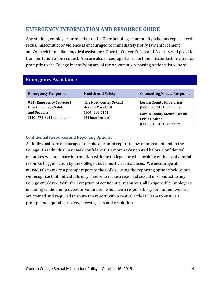# **EMERGENCY INFORMATION AND RESOURCE GUIDE**

Any student, employee, or member of the Oberlin College community who has experienced sexual misconduct or violence is encouraged to immediately notify law enforcement and/or seek immediate medical assistance. Oberlin College Safety and Security will provide transportation upon request. You are also encouraged to report the misconduct or violence promptly to the College by notifying any of the on-campus reporting options listed here.

### <span id="page-3-0"></span>**Emergency Assistance**

| <b>Emergency Response</b>                                                                                | <b>Health and Safety</b>                                                                             | <b>Counseling/Crisis Response</b>                                                                                                                                 |
|----------------------------------------------------------------------------------------------------------|------------------------------------------------------------------------------------------------------|-------------------------------------------------------------------------------------------------------------------------------------------------------------------|
| 911 (Emergency Services)<br><b>Oberlin College Safety</b><br>and Security<br>$(440)$ 775-8911 (24 hours) | <b>The Nord Center Sexual</b><br><b>Assault Care Unit</b><br>$(800) 888 - 6161$<br>(24 hour hotline) | <b>Lorain County Rape Crisis</b><br>$(800) 888 - 6161 (24 hours)$<br><b>Lorain County Mental Health</b><br><b>Crisis Hotline</b><br>$(800) 888 - 6161 (24 hours)$ |

### Confidential Resources and Reporting Options:

All individuals are encouraged to make a prompt report to law enforcement and to the College. An individual may seek confidential support as designated below. Confidential resources will not share information with the College nor will speaking with a confidential resource trigger action by the College under most circumstances. We encourage all individuals to make a prompt report to the College using the reporting options below, but we recognize that individuals may choose to make a report of sexual misconduct to any College employee. With the exception of confidential resources, all Responsible Employees, including student employees or volunteers who have a responsibility for student welfare, are trained and required to share the report with a central Title IX Team to ensure a prompt and equitable review, investigation and resolution.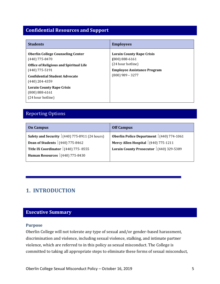# <span id="page-4-0"></span>**Confidential Resources and Support**

| <b>Students</b>                                                                                                                                                                               | <b>Employees</b>                                                                                                                        |
|-----------------------------------------------------------------------------------------------------------------------------------------------------------------------------------------------|-----------------------------------------------------------------------------------------------------------------------------------------|
| <b>Oberlin College Counseling Center</b><br>$(440)$ 775-8470<br><b>Office of Religious and Spiritual Life</b><br>$(440)$ 775-5191<br><b>Confidential Student Advocate</b><br>$(440)$ 204-4359 | <b>Lorain County Rape Crisis</b><br>$(800) 888 - 6161$<br>(24 hour hotline)<br><b>Employee Assistance Program</b><br>$(800)$ 989 - 3277 |
| <b>Lorain County Rape Crisis</b><br>$(800) 888 - 6161$<br>(24 hour hotline)                                                                                                                   |                                                                                                                                         |

# <span id="page-4-1"></span>Reporting Options

| <b>On Campus</b>                                | <b>Off Campus</b>                               |
|-------------------------------------------------|-------------------------------------------------|
| Safety and Security $(440)$ 775-8911 (24 hours) | <b>Oberlin Police Department</b> (440) 774-1061 |
| <b>Dean of Students</b> (440) 775-8462          | Mercy Allen Hospital $ (440)$ 775-1211          |
| Title IX Coordinator $(440)$ 775-8555           | Lorain County Prosecutor   (440) 329-5389       |
| <b>Human Resources</b> $(440)$ 775-8430         |                                                 |

# <span id="page-4-2"></span>**1. INTRODUCTION**

# <span id="page-4-3"></span>**Executive Summary**

#### **Purpose**

Oberlin College will not tolerate any type of sexual and/or gender-based harassment, discrimination and violence, including sexual violence, stalking, and intimate partner violence, which are referred to in this policy as sexual misconduct. The College is committed to taking all appropriate steps to eliminate these forms of sexual misconduct,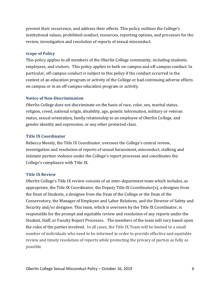prevent their recurrence, and address their effects. This policy outlines the College's institutional values, prohibited conduct, resources, reporting options, and processes for the review, investigation and resolution of reports of sexual misconduct.

#### **Scope of Policy**

This policy applies to all members of the Oberlin College community, including students, employees, and visitors. This policy applies to both on-campus and off-campus conduct. In particular, off-campus conduct is subject to this policy if the conduct occurred in the context of an education program or activity of the College or had continuing adverse effects on campus or in an off-campus education program or activity.

### **Notice of Non-Discrimination**

Oberlin College does not discriminate on the basis of race, color, sex, marital status, religion, creed, national origin, disability, age, genetic information, military or veteran status, sexual orientation, family relationship to an employee of Oberlin College, and gender identity and expression, or any other protected class.

### **Title IX Coordinator**

Rebecca Mosely, the Title IX Coordinator, oversees the College's central review, investigation and resolution of reports of sexual harassment, misconduct, stalking and intimate partner violence under the College's report processes and coordinates the College's compliance with Title IX.

### **Title IX Review**

Oberlin College's Title IX review consists of an inter-department team which includes, as appropriate, the Title IX Coordinator, the Deputy Title IX Coordinator(s), a designee from the Dean of Students, a designee from the Dean of the College or the Dean of the Conservatory, the Manager of Employee and Labor Relations, and the Director of Safety and Security and/or designee. This team, which is overseen by the Title IX Coordinator, is responsible for the prompt and equitable review and resolution of any reports under the Student, Staff, or Faculty Report Processes. The members of the team will vary based upon the roles of the parties involved. In all cases, the Title IX Team will be limited to a small number of individuals who need to be informed in order to provide effective and equitable review and timely resolution of reports while protecting the privacy of parties as fully as possible.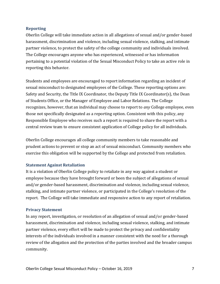### **Reporting**

Oberlin College will take immediate action in all allegations of sexual and/or gender-based harassment, discrimination and violence, including sexual violence, stalking, and intimate partner violence, to protect the safety of the college community and individuals involved. The College encourages anyone who has experienced, witnessed or has information pertaining to a potential violation of the Sexual Misconduct Policy to take an active role in reporting this behavior.

Students and employees are encouraged to report information regarding an incident of sexual misconduct to designated employees of the College. These reporting options are: Safety and Security, the Title IX Coordinator, the Deputy Title IX Coordinator(s), the Dean of Students Office, or the Manager of Employee and Labor Relations. The College recognizes, however, that an individual may choose to report to *any* College employee, even those not specifically designated as a reporting option. Consistent with this policy, any Responsible Employee who receives such a report is required to share the report with a central review team to ensure consistent application of College policy for all individuals.

Oberlin College encourages all college community members to take reasonable and prudent actions to prevent or stop an act of sexual misconduct. Community members who exercise this obligation will be supported by the College and protected from retaliation.

### **Statement Against Retaliation**

It is a violation of Oberlin College policy to retaliate in any way against a student or employee because they have brought forward or been the subject of allegations of sexual and/or gender-based harassment, discrimination and violence, including sexual violence, stalking, and intimate partner violence, or participated in the College's resolution of the report. The College will take immediate and responsive action to any report of retaliation.

### **Privacy Statement**

In any report, investigation, or resolution of an allegation of sexual and/or gender-based harassment, discrimination and violence, including sexual violence, stalking, and intimate partner violence, every effort will be made to protect the privacy and confidentiality interests of the individuals involved in a manner consistent with the need for a thorough review of the allegation and the protection of the parties involved and the broader campus community.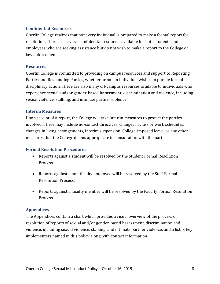### **Confidential Resources**

Oberlin College realizes that not every individual is prepared to make a formal report for resolution. There are several confidential resources available for both students and employees who are seeking assistance but do not wish to make a report to the College or law enforcement.

#### **Resources**

Oberlin College is committed to providing on campus resources and support to Reporting Parties and Responding Parties, whether or not an individual wishes to pursue formal disciplinary action. There are also many off-campus resources available to individuals who experience sexual and/or gender-based harassment, discrimination and violence, including sexual violence, stalking, and intimate partner violence.

#### **Interim Measures**

Upon receipt of a report, the College will take interim measures to protect the parties involved. These may include no-contact directives, changes in class or work schedules, changes in living arrangements, interim suspension, College-imposed leave, or any other measures that the College deems appropriate in consultation with the parties.

### **Formal Resolution Procedures**

- Reports against a student will be resolved by the Student Formal Resolution Process.
- Reports against a non-faculty employee will be resolved by the Staff Formal Resolution Process.
- Reports against a faculty member will be resolved by the Faculty Formal Resolution Process.

### **Appendices**

The Appendices contain a chart which provides a visual overview of the process of resolution of reports of sexual and/or gender-based harassment, discrimination and violence, including sexual violence, stalking, and intimate partner violence, and a list of key implementers named in this policy along with contact information.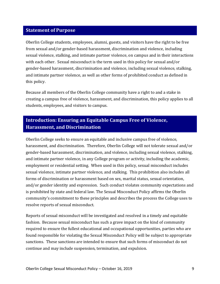# <span id="page-8-0"></span>**Statement of Purpose**

Oberlin College students, employees, alumni, guests, and visitors have the right to be free from sexual and/or gender-based harassment, discrimination and violence, including sexual violence, stalking, and intimate partner violence, on campus and in their interactions with each other. Sexual misconduct is the term used in this policy for sexual and/or gender-based harassment, discrimination and violence, including sexual violence, stalking, and intimate partner violence, as well as other forms of prohibited conduct as defined in this policy.

Because all members of the Oberlin College community have a right to and a stake in creating a campus free of violence, harassment, and discrimination, this policy applies to all students, employees, and visitors to campus.

# <span id="page-8-1"></span>**Introduction: Ensuring an Equitable Campus Free of Violence, Harassment, and Discrimination**

Oberlin College seeks to ensure an equitable and inclusive campus free of violence, harassment, and discrimination. Therefore, Oberlin College will not tolerate sexual and/or gender-based harassment, discrimination, and violence, including sexual violence, stalking, and intimate partner violence, in any College program or activity, including the academic, employment or residential setting. When used in this policy, sexual misconduct includes sexual violence, intimate partner violence, and stalking. This prohibition also includes all forms of discrimination or harassment based on sex, marital status, sexual orientation, and/or gender identity and expression. Such conduct violates community expectations and is prohibited by state and federal law. The Sexual Misconduct Policy affirms the Oberlin community's commitment to these principles and describes the process the College uses to resolve reports of sexual misconduct.

Reports of sexual misconduct will be investigated and resolved in a timely and equitable fashion. Because sexual misconduct has such a grave impact on the kind of community required to ensure the fullest educational and occupational opportunities, parties who are found responsible for violating the Sexual Misconduct Policy will be subject to appropriate sanctions. These sanctions are intended to ensure that such forms of misconduct do not continue and may include suspension, termination, and expulsion.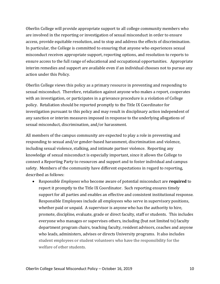Oberlin College will provide appropriate support to all college community members who are involved in the reporting or investigation of sexual misconduct in order to ensure access, provide equitable resolution, and to stop and address the effects of discrimination. In particular, the College is committed to ensuring that anyone who experiences sexual misconduct receives appropriate support, reporting options, and resolution to reports to ensure access to the full range of educational and occupational opportunities. Appropriate interim remedies and support are available even if an individual chooses not to pursue any action under this Policy.

Oberlin College views this policy as a primary resource in preventing and responding to sexual misconduct. Therefore, retaliation against anyone who makes a report, cooperates with an investigation, or participates in a grievance procedure is a violation of College policy. Retaliation should be reported promptly to the Title IX Coordinator for investigation pursuant to this policy and may result in disciplinary action independent of any sanction or interim measures imposed in response to the underlying allegations of sexual misconduct, discrimination, and/or harassment.

All members of the campus community are expected to play a role in preventing and responding to sexual and/or gender-based harassment, discrimination and violence, including sexual violence, stalking, and intimate partner violence. Reporting any knowledge of sexual misconduct is especially important, since it allows the College to connect a Reporting Party to resources and support and to foster individual and campus safety. Members of the community have different expectations in regard to reporting, described as follows:

• R*esponsible Employees* who become aware of potential misconduct are **required** to report it promptly to the Title IX Coordinator. Such reporting ensures timely support for all parties and enables an effective and consistent institutional response. Responsible Employees include all employees who serve in supervisory positions, whether paid or unpaid. A supervisor is anyone who has the authority to hire, promote, discipline, evaluate, grade or direct faculty, staff or students. This includes everyone who manages or supervises others, including (but not limited to) faculty department program chairs, teaching faculty, resident advisors, coaches and anyone who leads, administers, advises or directs University programs. It also includes student employees or student volunteers who have the responsibility for the welfare of other students.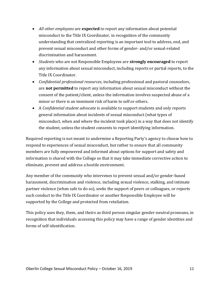- *All other employees* are **expected** to report any information about potential misconduct to the Title IX Coordinator, in recognition of the community understanding that centralized reporting is an important tool to address, end, and prevent sexual misconduct and other forms of gender- and/or sexual-related discrimination and harassment.
- *Students* who are not Responsible Employees are **strongly encouraged** to report any information about sexual misconduct, including reports or partial reports, to the Title IX Coordinator.
- *Confidential professional resources*, including professional and pastoral counselors, are **not permitted** to report any information about sexual misconduct without the consent of the patient/client, unless the information involves suspected abuse of a minor or there is an imminent risk of harm to self or others.
- A *Confidential student advocate* is available to support students and only reports general information about incidents of sexual misconduct (what types of misconduct, when and where the incident took place) in a way that does not identify the student, unless the student consents to report identifying information.

Required reporting is not meant to undermine a Reporting Party's agency to choose how to respond to experiences of sexual misconduct, but rather to ensure that all community members are fully empowered and informed about options for support and safety and information is shared with the College so that it may take immediate corrective action to eliminate, prevent and address a hostile environment.

Any member of the community who intervenes to prevent sexual and/or gender-based harassment, discrimination and violence, including sexual violence, stalking, and intimate partner violence (when safe to do so), seeks the support of peers or colleagues, or reports such conduct to the Title IX Coordinator or another Responsible Employee will be supported by the College and protected from retaliation.

This policy uses they, them, and theirs as third person singular gender-neutral pronouns, in recognition that individuals accessing this policy may have a range of gender identities and forms of self-identification.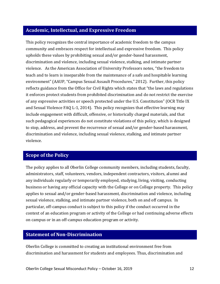# <span id="page-11-0"></span>**Academic, Intellectual, and Expressive Freedom**

This policy recognizes the central importance of academic freedom to the campus community and embraces respect for intellectual and expressive freedom. This policy upholds these values by prohibiting sexual and/or gender-based harassment, discrimination and violence, including sexual violence, stalking, and intimate partner violence. As the American Association of University Professors notes, "the freedom to teach and to learn is inseparable from the maintenance of a safe and hospitable learning environment" (AAUP, "Campus Sexual Assault Procedures," 2012). Further, this policy reflects guidance from the Office for Civil Rights which states that "the laws and regulations it enforces protect students from prohibited discrimination and do not restrict the exercise of any expressive activities or speech protected under the U.S. Constitution" (OCR Title IX and Sexual Violence FAQ L-1, 2014). This policy recognizes that effective learning may include engagement with difficult, offensive, or historically charged materials, and that such pedagogical experiences do not constitute violations of this policy, which is designed to stop, address, and prevent the recurrence of sexual and/or gender-based harassment, discrimination and violence, including sexual violence, stalking, and intimate partner violence.

# <span id="page-11-1"></span>**Scope of the Policy**

The policy applies to all Oberlin College community members, including students, faculty, administrators, staff, volunteers, vendors, independent contractors, visitors, alumni and any individuals regularly or temporarily employed, studying, living, visiting, conducting business or having any official capacity with the College or on College property. This policy applies to sexual and/or gender-based harassment, discrimination and violence, including sexual violence, stalking, and intimate partner violence, both on and off campus. In particular, off-campus conduct is subject to this policy if the conduct occurred in the context of an education program or activity of the College or had continuing adverse effects on campus or in an off-campus education program or activity.

### <span id="page-11-2"></span>**Statement of Non-Discrimination**

Oberlin College is committed to creating an institutional environment free from discrimination and harassment for students and employees. Thus, discrimination and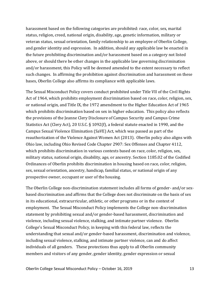harassment based on the following categories are prohibited: race, color, sex, marital status, religion, creed, national origin, disability, age, genetic information, military or veteran status, sexual orientation, family relationship to an employee of Oberlin College, and gender identity and expression. In addition, should any applicable law be enacted in the future prohibiting discrimination and/or harassment based on a category not listed above, or should there be other changes in the applicable law governing discrimination and/or harassment, this Policy will be deemed amended to the extent necessary to reflect such changes. In affirming the prohibition against discrimination and harassment on these bases, Oberlin College also affirms its compliance with applicable laws.

The Sexual Misconduct Policy covers conduct prohibited under Title VII of the Civil Rights Act of 1964, which prohibits employment discrimination based on race, color, religion, sex, or national origin, and Title IX, the 1972 amendment to the Higher Education Act of 1965 which prohibits discrimination based on sex in higher education. This policy also reflects the provisions of the Jeanne Clery Disclosure of Campus Security and Campus Crime Statistics Act (Clery Act), 20 U.S.C. § 1092(f), a federal statute enacted in 1990, and the Campus Sexual Violence Elimination (SaVE) Act, which was passed as part of the reauthorization of the Violence Against Women Act (2013). Oberlin policy also aligns with Ohio law, including Ohio Revised Code Chapter 2907: Sex Offenses and Chapter 4112, which prohibits discrimination in various contexts based on race, color, religion, sex, military status, national origin, disability, age, or ancestry. Section 1185.02 of the Codified Ordinances of Oberlin prohibits discrimination in housing based on race, color, religion, sex, sexual orientation, ancestry, handicap, familial status, or national origin of any prospective owner, occupant or user of the housing.

The Oberlin College non-discrimination statement includes all forms of gender- and/or sexbased discrimination and affirms that the College does not discriminate on the basis of sex in its educational, extracurricular, athletic, or other programs or in the context of employment. The Sexual Misconduct Policy implements the College non-discrimination statement by prohibiting sexual and/or gender-based harassment, discrimination and violence, including sexual violence, stalking, and intimate partner violence. Oberlin College's Sexual Misconduct Policy, in keeping with this federal law, reflects the understanding that sexual and/or gender-based harassment, discrimination and violence, including sexual violence, stalking, and intimate partner violence, can and do affect individuals of all genders. These protections thus apply to all Oberlin community members and visitors of any gender, gender identity, gender expression or sexual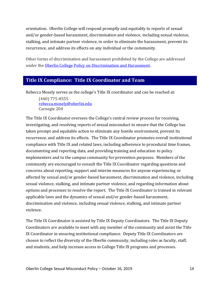orientation. Oberlin College will respond promptly and equitably to reports of sexual and/or gender-based harassment, discrimination and violence, including sexual violence, stalking, and intimate partner violence, in order to eliminate the harassment, prevent its recurrence, and address its effects on any individual or the community.

Other forms of discrimination and harassment prohibited by the College are addressed under th[e Oberlin College Policy on Discrimination and Harassment.](http://go.oberlin.edu/dhpolicy)

# <span id="page-13-0"></span>**Title IX Compliance: Title IX Coordinator and Team**

Rebecca Mosely serves as the college's Title IX coordinator and can be reached at:

(440) 775-8555 [rebecca.mosely@oberlin.edu](mailto:rebecca.mosely@oberlin.edu) Carnegie 204

The Title IX Coordinator oversees the College's central review process for receiving, investigating, and resolving reports of sexual misconduct to ensure that the College has taken prompt and equitable action to eliminate any hostile environment, prevent its recurrence, and address its effects. The Title IX Coordinator promotes overall institutional compliance with Title IX and related laws, including adherence to procedural time frames, documenting and reporting data, and providing training and education to policy implementers and to the campus community for prevention purposes. Members of the community are encouraged to consult the Title IX Coordinator regarding questions and concerns about reporting, support and interim measures for anyone experiencing or affected by sexual and/or gender-based harassment, discrimination and violence, including sexual violence, stalking, and intimate partner violence, and regarding information about options and processes to resolve the report. The Title IX Coordinator is trained in relevant applicable laws and the dynamics of sexual and/or gender-based harassment, discrimination and violence, including sexual violence, stalking, and intimate partner violence.

The Title IX Coordinator is assisted by Title IX Deputy Coordinators. The Title IX Deputy Coordinators are available to meet with any member of the community and assist the Title IX Coordinator in ensuring institutional compliance. Deputy Title IX Coordinators are chosen to reflect the diversity of the Oberlin community, including roles as faculty, staff, and students, and help increase access to College Title IX programs and processes.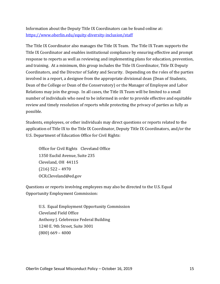Information about the Deputy Title IX Coordinators can be found online at: <https://www.oberlin.edu/equity-diversity-inclusion/staff>

The Title IX Coordinator also manages the Title IX Team. The Title IX Team supports the Title IX Coordinator and enables institutional compliance by ensuring effective and prompt response to reports as well as reviewing and implementing plans for education, prevention, and training. At a minimum, this group includes the Title IX Coordinator, Title IX Deputy Coordinators, and the Director of Safety and Security. Depending on the roles of the parties involved in a report, a designee from the appropriate divisional dean (Dean of Students, Dean of the College or Dean of the Conservatory) or the Manager of Employee and Labor Relations may join the group. In all cases, the Title IX Team will be limited to a small number of individuals who need to be informed in order to provide effective and equitable review and timely resolution of reports while protecting the privacy of parties as fully as possible.

Students, employees, or other individuals may direct questions or reports related to the application of Title IX to the Title IX Coordinator, Deputy Title IX Coordinators, and/or the U.S. Department of Education Office for Civil Rights:

Office for Civil Rights Cleveland Office 1350 Euclid Avenue, Suite 235 Cleveland, OH 44115 (216) 522 – 4970 OCR.Cleveland@ed.gov

Questions or reports involving employees may also be directed to the U.S. Equal Opportunity Employment Commission:

U.S. Equal Employment Opportunity Commission Cleveland Field Office Anthony J. Celebrezze Federal Building 1240 E. 9th Street, Suite 3001 (800) 669 – 4000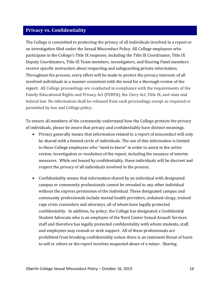# <span id="page-15-0"></span>**Privacy vs. Confidentiality**

The College is committed to protecting the privacy of all individuals involved in a report or an investigation filed under the Sexual Misconduct Policy. All College employees who participate in the College's Title IX response, including the Title IX Coordinator, Title IX Deputy Coordinators, Title IX Team members, investigators, and Hearing Panel members receive specific instruction about respecting and safeguarding private information. Throughout the process, every effort will be made to protect the privacy interests of all involved individuals in a manner consistent with the need for a thorough review of the report. All College proceedings are conducted in compliance with the requirements of the Family Educational Rights and Privacy Act (FERPA), the Clery Act, Title IX, and state and federal law. No information shall be released from such proceedings except as required or permitted by law and College policy.

To ensure all members of the community understand how the College protects the privacy of individuals, please be aware that privacy and confidentiality have distinct meanings.

- Privacy generally means that information related to a report of misconduct will only be shared with a limited circle of individuals. The use of this information is limited to those College employees who "need to know" in order to assist in the active review, investigation or resolution of the report, including the issuance of interim measures. While not bound by confidentiality, these individuals will be discreet and respect the privacy of all individuals involved in the process.
- Confidentiality means that information shared by an individual with designated campus or community professionals cannot be revealed to any other individual without the express permission of the individual. These designated campus and community professionals include mental health providers, ordained clergy, trained rape crisis counselors and attorneys, all of whom have legally protected confidentiality. In addition, by policy, the College has designated a Confidential Student Advocate who is an employee of the Nord Center Sexual Assault Services staff and therefore has legally protected confidentiality with whom students, staff, and employees may consult or seek support. All of these professionals are prohibited from breaking confidentiality unless there is an imminent threat of harm to self or others or the report involves suspected abuse of a minor. Sharing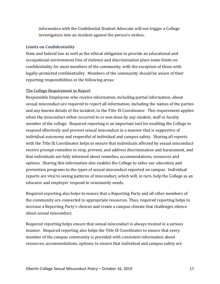information with the Confidential Student Advocate will not trigger a College investigation into an incident against the person's wishes.

### **Limits on Confidentiality**

State and federal law as well as the ethical obligation to provide an educational and occupational environment free of violence and discrimination place some limits on confidentiality for most members of the community, with the exception of those with legally-protected confidentiality. Members of the community should be aware of their reporting responsibilities in the following areas:

### The College Requirement to Report

Responsible Employees who receive information, including partial information, about sexual misconduct are required to report all information, including the names of the parties and any known details of the incident, to the Title IX Coordinator. This requirement applies when the misconduct either occurred to or was done by any student, staff or faculty member of the college. Required reporting is an important tool for enabling the College to respond effectively and prevent sexual misconduct in a manner that is supportive of individual autonomy and respectful of individual and campus safety. Sharing all reports with the Title IX Coordinator helps to ensure that individuals affected by sexual misconduct receive prompt remedies to stop, prevent, and address discrimination and harassment, and that individuals are fully informed about remedies, accommodations, resources and options. Sharing this information also enables the College to tailor our education and prevention programs to the types of sexual misconduct reported on campus. Individual reports are vital to seeing patterns of misconduct, which will, in turn, help the College as an educator and employer respond to community needs.

Required reporting also helps to ensure that a Reporting Party and all other members of the community are connected to appropriate resources. Thus, required reporting helps to increase a Reporting Party's choices and create a campus climate that challenges silence about sexual misconduct.

Required reporting helps ensure that sexual misconduct is always treated in a serious manner. Required reporting also helps the Title IX Coordinator to ensure that every member of the campus community is provided with consistent information about resources, accommodations, options; to ensure that individual and campus safety are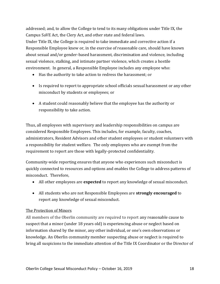addressed; and, to allow the College to tend to its many obligations under Title IX, the Campus SaVE Act, the Clery Act, and other state and federal laws. Under Title IX, the College is required to take immediate and corrective action if a Responsible Employee knew or, in the exercise of reasonable care, should have known about sexual and/or gender-based harassment, discrimination and violence, including sexual violence, stalking, and intimate partner violence, which creates a hostile environment. In general, a Responsible Employee includes any employee who:

- Has the authority to take action to redress the harassment; or
- Is required to report to appropriate school officials sexual harassment or any other misconduct by students or employees; or
- A student could reasonably believe that the employee has the authority or responsibility to take action.

Thus, all employees with supervisory and leadership responsibilities on campus are considered Responsible Employees. This includes, for example, faculty, coaches, administrators, Resident Advisors and other student employees or student volunteers with a responsibility for student welfare. The only employees who are exempt from the requirement to report are those with legally-protected confidentiality.

Community-wide reporting ensures that anyone who experiences such misconduct is quickly connected to resources and options and enables the College to address patterns of misconduct. Therefore,

- All other employees are **expected** to report any knowledge of sexual misconduct.
- All students who are not Responsible Employees are **strongly encouraged** to report any knowledge of sexual misconduct.

### The Protection of Minors

All members of the Oberlin community are required to report any reasonable cause to suspect that a minor (under 18 years old) is experiencing abuse or neglect based on information shared by the minor, any other individual, or one's own observations or knowledge. An Oberlin community member suspecting abuse or neglect is required to bring all suspicions to the immediate attention of the Title IX Coordinator or the Director of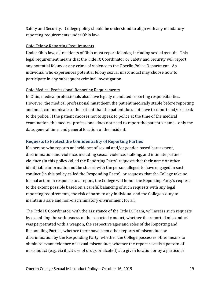Safety and Security. College policy should be understood to align with any mandatory reporting requirements under Ohio law.

### Ohio Felony Reporting Requirements

Under Ohio law, all residents of Ohio must report felonies, including sexual assault. This legal requirement means that the Title IX Coordinator or [Safety and Security](http://new.oberlin.edu/office/safety-and-security/) will report any potential felony or any crime of violence to the Oberlin Police Department. An individual who experiences potential felony sexual misconduct may choose how to participate in any subsequent criminal investigation.

### Ohio Medical Professional Reporting Requirements

In Ohio, medical professionals also have legally mandated reporting responsibilities. However, the medical professional must deem the patient medically stable before reporting and must communicate to the patient that the patient does not have to report and/or speak to the police. If the patient chooses not to speak to police at the time of the medical examination, the medical professional does not need to report the patient's name - only the date, general time, and general location of the incident.

### **Requests to Protect the Confidentiality of Reporting Parties**

If a person who reports an incidence of sexual and/or gender-based harassment, discrimination and violence, including sexual violence, stalking, and intimate partner violence (in this policy called the Reporting Party) requests that their name or other identifiable information not be shared with the person alleged to have engaged in such conduct (in this policy called the Responding Party), or requests that the College take no formal action in response to a report, the College will honor the Reporting Party's request to the extent possible based on a careful balancing of such requests with any legal reporting requirements, the risk of harm to any individual and the College's duty to maintain a safe and non-discriminatory environment for all.

The Title IX Coordinator, with the assistance of the Title IX Team, will assess such requests by examining the seriousness of the reported conduct, whether the reported misconduct was perpetrated with a weapon, the respective ages and roles of the Reporting and Responding Parties, whether there have been other reports of misconduct or discrimination by the Responding Party, whether the College possesses other means to obtain relevant evidence of sexual misconduct, whether the report reveals a pattern of misconduct (e.g., via illicit use of drugs or alcohol) at a given location or by a particular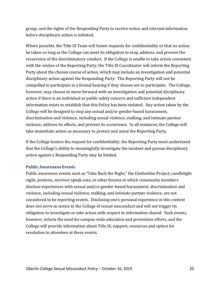group, and the rights of the Responding Party to receive notice and relevant information before disciplinary action is initiated.

Where possible, the Title IX Team will honor requests for confidentiality or that no action be taken so long as the College can meet its obligation to stop, address, and prevent the recurrence of the discriminatory conduct. If the College is unable to take action consistent with the wishes of the Reporting Party, the Title IX Coordinator will inform the Reporting Party about the chosen course of action, which may include an investigation and potential disciplinary action against the Responding Party. The Reporting Party will not be compelled to participate in a formal hearing if they choose not to participate. The College, however, may choose to move forward with an investigation and potential disciplinary action if there is an individual or public safety concern and sufficient independent information exists to establish that this Policy has been violated. Any action taken by the College will be designed to stop any sexual and/or gender-based harassment, discrimination and violence, including sexual violence, stalking, and intimate partner violence, address its effects, and prevent its occurrence. In all instances, the College will take immediate action as necessary to protect and assist the Reporting Party.

If the College honors the request for confidentiality, the Reporting Party must understand that the College's ability to meaningfully investigate the incident and pursue disciplinary action against a Responding Party may be limited.

### **Public Awareness Events**

Public awareness events such as "Take Back the Night," the Clothesline Project, candlelight vigils, protests, survivor speak outs, or other forums in which community members disclose experiences with sexual and/or gender-based harassment, discrimination and violence, including sexual violence, stalking, and intimate partner violence, are not considered to be reporting events. Disclosing one's personal experience in this context does not serve as notice to the College of sexual misconduct and will not trigger its obligation to investigate or take action with respect to information shared. Such events, however, inform the need for campus-wide education and prevention efforts, and the College will provide information about Title IX, support, resources and option for resolution to attendees at these events.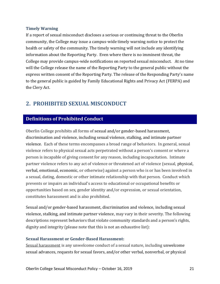#### **Timely Warning**

If a report of sexual misconduct discloses a serious or continuing threat to the Oberlin community, the College may issue a campus-wide timely warning notice to protect the health or safety of the community. The timely warning will not include any identifying information about the Reporting Party. Even where there is no imminent threat, the College may provide campus-wide notifications on reported sexual misconduct. At no time will the College release the name of the Reporting Party to the general public without the express written consent of the Reporting Party. The release of the Responding Party's name to the general public is guided by Family Educational Rights and Privacy Act (FERPA) and the Clery Act.

# <span id="page-20-0"></span>**2. PROHIBITED SEXUAL MISCONDUCT**

# <span id="page-20-1"></span>**Definitions of Prohibited Conduct**

Oberlin College prohibits all forms of sexual and/or gender-based harassment, discrimination and violence, including sexual violence, stalking, and intimate partner violence. Each of these terms encompasses a broad range of behaviors. In general, sexual violence refers to physical sexual acts perpetrated without a person's consent or where a person is incapable of giving consent for any reason, including incapacitation. Intimate partner violence refers to any act of violence or threatened act of violence (sexual, physical, verbal, emotional, economic, or otherwise) against a person who is or has been involved in a sexual, dating, domestic or other intimate relationship with that person. Conduct which prevents or impairs an individual's access to educational or occupational benefits or opportunities based on sex, gender identity and/or expression, or sexual orientation, constitutes harassment and is also prohibited.

Sexual and/or gender-based harassment, discrimination and violence, including sexual violence, stalking, and intimate partner violence, may vary in their severity. The following descriptions represent behaviors that violate community standards and a person's rights, dignity and integrity (please note that this is not an exhaustive list):

### **Sexual Harassment or Gender-Based Harassment:**

Sexual harassment is any unwelcome conduct of a sexual nature, including unwelcome sexual advances, requests for sexual favors, and/or other verbal, nonverbal, or physical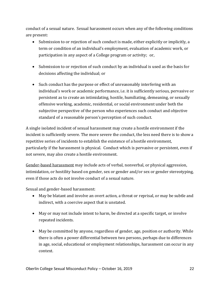conduct of a sexual nature. Sexual harassment occurs when any of the following conditions are present:

- Submission to or rejection of such conduct is made, either explicitly or implicitly, a term or condition of an individual's employment, evaluation of academic work, or participation in any aspect of a College program or activity; or,
- Submission to or rejection of such conduct by an individual is used as the basis for decisions affecting the individual; or
- Such conduct has the purpose or effect of unreasonably interfering with an individual's work or academic performance, i.e. it is sufficiently serious, pervasive or persistent as to create an intimidating, hostile, humiliating, demeaning, or sexually offensive working, academic, residential, or social environment under both the subjective perspective of the person who experiences such conduct and objective standard of a reasonable person's perception of such conduct.

A single isolated incident of sexual harassment may create a hostile environment if the incident is sufficiently severe. The more severe the conduct, the less need there is to show a repetitive series of incidents to establish the existence of a hostile environment, particularly if the harassment is physical. Conduct which is pervasive or persistent, even if not severe, may also create a hostile environment.

Gender-based harassment may include acts of verbal, nonverbal, or physical aggression, intimidation, or hostility based on gender, sex or gender and/or sex or gender stereotyping, even if those acts do not involve conduct of a sexual nature.

Sexual and gender-based harassment:

- May be blatant and involve an overt action, a threat or reprisal, or may be subtle and indirect, with a coercive aspect that is unstated.
- May or may not include intent to harm, be directed at a specific target, or involve repeated incidents.
- May be committed by anyone, regardless of gender, age, position or authority. While there is often a power differential between two persons, perhaps due to differences in age, social, educational or employment relationships, harassment can occur in any context.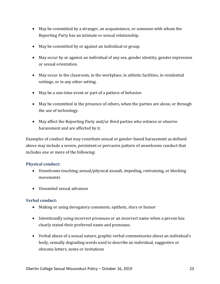- May be committed by a stranger, an acquaintance, or someone with whom the Reporting Party has an intimate or sexual relationship.
- May be committed by or against an individual or group.
- May occur by or against an individual of any sex, gender identity, gender expression or sexual orientation.
- May occur in the classroom, in the workplace, in athletic facilities, in residential settings, or in any other setting.
- May be a one-time event or part of a pattern of behavior.
- May be committed in the presence of others, when the parties are alone, or through the use of technology.
- May affect the Reporting Party and/or third parties who witness or observe harassment and are affected by it.

Examples of conduct that may constitute sexual or gender-based harassment as defined above may include a severe, persistent or pervasive pattern of unwelcome conduct that includes one or more of the following:

### **Physical conduct:**

- Unwelcome touching, sexual/physical assault, impeding, restraining, or blocking movements
- Unwanted sexual advances

### **Verbal conduct:**

- Making or using derogatory comments, epithets, slurs or humor
- Intentionally using incorrect pronouns or an incorrect name when a person has clearly stated their preferred name and pronouns.
- Verbal abuse of a sexual nature, graphic verbal commentaries about an individual's body, sexually degrading words used to describe an individual, suggestive or obscene letters, notes or invitations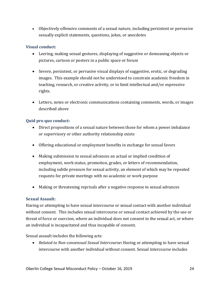• Objectively offensive comments of a sexual nature, including persistent or pervasive sexually explicit statements, questions, jokes, or anecdotes

### **Visual conduct:**

- Leering, making sexual gestures, displaying of suggestive or demeaning objects or pictures, cartoon or posters in a public space or forum
- Severe, persistent, or pervasive visual displays of suggestive, erotic, or degrading images. This example should not be understood to constrain academic freedom in teaching, research, or creative activity, or to limit intellectual and/or expressive rights.
- Letters, notes or electronic communications containing comments, words, or images described above

### **Quid pro quo conduct:**

- Direct propositions of a sexual nature between those for whom a power imbalance or supervisory or other authority relationship exists
- Offering educational or employment benefits in exchange for sexual favors
- Making submission to sexual advances an actual or implied condition of employment, work status, promotion, grades, or letters of recommendation, including subtle pressure for sexual activity, an element of which may be repeated requests for private meetings with no academic or work purpose
- Making or threatening reprisals after a negative response to sexual advances

### **Sexual Assault:**

Having or attempting to have sexual intercourse or sexual contact with another individual without consent. This includes sexual intercourse or sexual contact achieved by the use or threat of force or coercion, where an individual does not consent to the sexual act, or where an individual is incapacitated and thus incapable of consent.

Sexual assault includes the following acts:

• *Related to Non-consensual Sexual Intercourse***:** Having or attempting to have sexual intercourse with another individual without consent. Sexual intercourse includes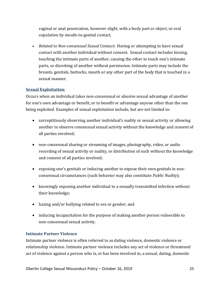vaginal or anal penetration, however slight, with a body part or object, or oral copulation by mouth-to-genital contact.

• *Related to Non-consensual Sexual Contact***:** Having or attempting to have sexual contact with another individual without consent. Sexual contact includes kissing, touching the intimate parts of another, causing the other to touch one's intimate parts, or disrobing of another without permission. Intimate parts may include the breasts, genitals, buttocks, mouth or any other part of the body that is touched in a sexual manner.

### **Sexual Exploitation**:

Occurs when an individual takes non-consensual or abusive sexual advantage of another for one's own advantage or benefit, or to benefit or advantage anyone other than the one being exploited. Examples of sexual exploitation include, but are not limited to:

- surreptitiously observing another individual's nudity or sexual activity or allowing another to observe consensual sexual activity without the knowledge and consent of all parties involved;
- non-consensual sharing or streaming of images, photography, video, or audio recording of sexual activity or nudity, or distribution of such without the knowledge and consent of all parties involved;
- exposing one's genitals or inducing another to expose their own genitals in nonconsensual circumstances (such behavior may also constitute *Public Nudity*);
- knowingly exposing another individual to a sexually transmitted infection without their knowledge;
- hazing and/or bullying related to sex or gender; and
- inducing incapacitation for the purpose of making another person vulnerable to non-consensual sexual activity.

### **Intimate Partner Violence**

Intimate partner violence is often referred to as dating violence, domestic violence or relationship violence. Intimate partner violence includes any act of violence or threatened act of violence against a person who is, or has been involved in, a sexual, dating, domestic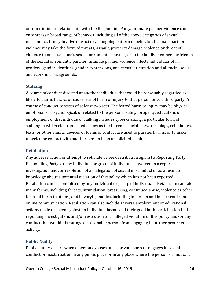or other intimate relationship with the Responding Party. Intimate partner violence can encompass a broad range of behavior including all of the above categories of sexual misconduct. It may involve one act or an ongoing pattern of behavior. Intimate partner violence may take the form of threats, assault, property damage, violence or threat of violence to one's self, one's sexual or romantic partner, or to the family members or friends of the sexual or romantic partner. Intimate partner violence affects individuals of all genders, gender identities, gender expressions, and sexual orientation and all racial, social, and economic backgrounds.

#### **Stalking**

A course of conduct directed at another individual that could be reasonably regarded as likely to alarm, harass, or cause fear of harm or injury to that person or to a third party. A course of conduct consists of at least two acts. The feared harm or injury may be physical, emotional, or psychological, or related to the personal safety, property, education, or employment of that individual. Stalking includes cyber-stalking, a particular form of stalking in which electronic media such as the Internet, social networks, blogs, cell phones, texts, or other similar devices or forms of contact are used to pursue, harass, or to make unwelcome contact with another person in an unsolicited fashion.

#### **Retaliation**

Any adverse action or attempt to retaliate or seek retribution against a Reporting Party, Responding Party, or any individual or group of individuals involved in a report, investigation and/or resolution of an allegation of sexual misconduct or as a result of knowledge about a potential violation of this policy which has not been reported. Retaliation can be committed by any individual or group of individuals. Retaliation can take many forms, including threats, intimidation, pressuring, continued abuse, violence or other forms of harm to others, and in varying modes, including in person and in electronic and online communication. Retaliation can also include adverse employment or educational actions made or taken against an individual because of their good faith participation in the reporting, investigation, and/or resolution of an alleged violation of this policy and/or any conduct that would discourage a reasonable person from engaging in further protected activity.

#### **Public Nudity**

Public nudity occurs when a person exposes one's private parts or engages in sexual conduct or masturbation in any public place or in any place where the person's conduct is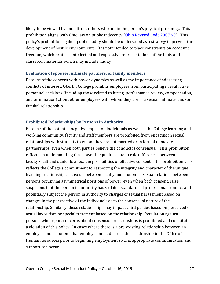likely to be viewed by and affront others who are in the person's physical proximity. This prohibition aligns with Ohio law on public indecency [\(Ohio Revised Code 2907.90\)](http://codes.ohio.gov/orc/2907.09). This policy's prohibition against public nudity should be understood as a strategy to prevent the development of hostile environments. It is not intended to place constraints on academic freedom, which protects intellectual and expressive representations of the body and classroom materials which may include nudity.

#### **Evaluation of spouses, intimate partners, or family members**

Because of the concern with power dynamics as well as the importance of addressing conflicts of interest, Oberlin College prohibits employees from participating in evaluative personnel decisions (including those related to hiring, performance review, compensation, and termination) about other employees with whom they are in a sexual, intimate, and/or familial relationship.

### **Prohibited Relationships by Persons in Authority**

Because of the potential negative impact on individuals as well as the College learning and working community, faculty and staff members are prohibited from engaging in sexual relationships with students to whom they are not married or in formal domestic partnerships, even when both parties believe the conduct is consensual. This prohibition reflects an understanding that power inequalities due to role differences between faculty/staff and students affect the possibilities of effective consent. This prohibition also reflects the College's commitment to respecting the integrity and character of the unique teaching relationship that exists between faculty and students. Sexual relations between persons occupying asymmetrical positions of power, even when both consent, raise suspicions that the person in authority has violated standards of professional conduct and potentially subject the person in authority to charges of sexual harassment based on changes in the perspective of the individuals as to the consensual nature of the relationship. Similarly, these relationships may impact third parties based on perceived or actual favoritism or special treatment based on the relationship. Retaliation against persons who report concerns about consensual relationships is prohibited and constitutes a violation of this policy. In cases where there is a pre-existing relationship between an employee and a student, that employee must disclose the relationship to the Office of Human Resources prior to beginning employment so that appropriate communication and support can occur.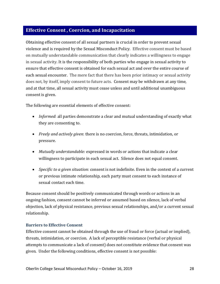# <span id="page-27-0"></span>**Effective Consent , Coercion, and Incapacitation**

Obtaining effective consent of all sexual partners is crucial in order to prevent sexual violence and is required by the Sexual Misconduct Policy. Effective consent must be based on mutually understandable communication that clearly indicates a willingness to engage in sexual activity. It is the responsibility of both parties who engage in sexual activity to ensure that effective consent is obtained for each sexual act and over the entire course of each sexual encounter. The mere fact that there has been prior intimacy or sexual activity does not, by itself, imply consent to future acts. Consent may be withdrawn at any time, and at that time, all sexual activity must cease unless and until additional unambiguous consent is given.

The following are essential elements of effective consent:

- *Informed*: all parties demonstrate a clear and mutual understanding of exactly what they are consenting to.
- *Freely and actively given*: there is no coercion, force, threats, intimidation, or pressure.
- *Mutually understandable:* expressed in words or actions that indicate a clear willingness to participate in each sexual act. Silence does not equal consent.
- *Specific to a given situation*: consent is not indefinite. Even in the context of a current or previous intimate relationship, each party must consent to each instance of sexual contact each time.

Because consent should be positively communicated through words or actions in an ongoing fashion, consent cannot be inferred or assumed based on silence, lack of verbal objection, lack of physical resistance, previous sexual relationships, and/or a current sexual relationship.

### **Barriers to Effective Consent**

Effective consent cannot be obtained through the use of fraud or force (actual or implied), threats, intimidation, or coercion. A lack of perceptible resistance (verbal or physical attempts to communicate a lack of consent) does not constitute evidence that consent was given. Under the following conditions, effective consent is not possible: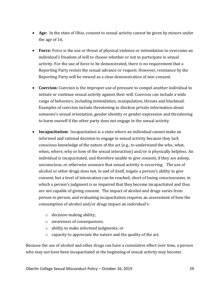- **Age:** In the state of Ohio, consent to sexual activity cannot be given by minors under the age of 16.
- **Force:** Force is the use or threat of physical violence or intimidation to overcome an individual's freedom of will to choose whether or not to participate in sexual activity. For the use of force to be demonstrated, there is no requirement that a Reporting Party resists the sexual advance or request. However, resistance by the Reporting Party will be viewed as a clear demonstration of non-consent.
- **Coercion:** Coercion is the improper use of pressure to compel another individual to initiate or continue sexual activity against their will. Coercion can include a wide range of behaviors, including intimidation, manipulation, threats and blackmail. Examples of coercion include threatening to disclose private information about someone's sexual orientation, gender identity or gender expression and threatening to harm oneself if the other party does not engage in the sexual activity.
- **Incapacitation:** Incapacitation is a state where an individual cannot make an informed and rational decision to engage in sexual activity because they lack conscious knowledge of the nature of the act (e.g., to understand the who, what, when, where, why or how of the sexual interaction) and/or is physically helpless. An individual is incapacitated, and therefore unable to give consent, if they are asleep, unconscious, or otherwise unaware that sexual activity is occurring. The use of alcohol or other drugs does not, in and of itself, negate a person's ability to give consent, but a level of intoxication can be reached, short of losing consciousness, in which a person's judgment is so impaired that they become incapacitated and thus are not capable of giving consent. The impact of alcohol and drugs varies from person to person, and evaluating incapacitation requires an assessment of how the consumption of alcohol and/or drugs impact an individual's:
	- o decision-making ability;
	- o awareness of consequences;
	- o ability to make informed judgments; or
	- o capacity to appreciate the nature and the quality of the act.

Because the use of alcohol and other drugs can have a cumulative effect over time, a person who may not have been incapacitated at the beginning of sexual activity may become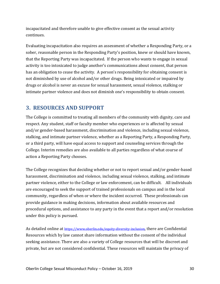incapacitated and therefore unable to give effective consent as the sexual activity continues.

Evaluating incapacitation also requires an assessment of whether a Responding Party, or a sober, reasonable person in the Responding Party's position, knew or should have known, that the Reporting Party was incapacitated. If the person who wants to engage in sexual activity is too intoxicated to judge another's communications about consent, that person has an obligation to cease the activity. A person's responsibility for obtaining consent is not diminished by use of alcohol and/or other drugs. Being intoxicated or impaired by drugs or alcohol is never an excuse for sexual harassment, sexual violence, stalking or intimate partner violence and does not diminish one's responsibility to obtain consent.

# <span id="page-29-0"></span>**3. RESOURCES AND SUPPORT**

The College is committed to treating all members of the community with dignity, care and respect. Any student, staff or faculty member who experiences or is affected by sexual and/or gender-based harassment, discrimination and violence, including sexual violence, stalking, and intimate partner violence, whether as a Reporting Party, a Responding Party, or a third party, will have equal access to support and counseling services through the College. Interim remedies are also available to all parties regardless of what course of action a Reporting Party chooses.

The College recognizes that deciding whether or not to report sexual and/or gender-based harassment, discrimination and violence, including sexual violence, stalking, and intimate partner violence, either to the College or law enforcement, can be difficult. All individuals are encouraged to seek the support of trained professionals on campus and in the local community, regardless of when or where the incident occurred. These professionals can provide guidance in making decisions, information about available resources and procedural options, and assistance to any party in the event that a report and/or resolution under this policy is pursued.

As detailed online at <https://www.oberlin.edu/equity-diversity-inclusion>, there are Confidential Resources which by law cannot share information without the consent of the individual seeking assistance. There are also a variety of College resources that will be discreet and private, but are not considered confidential. These resources will maintain the privacy of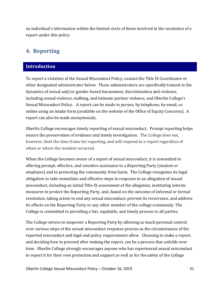an individual's information within the limited circle of those involved in the resolution of a report under this policy.

# <span id="page-30-0"></span>**4. Reporting**

### <span id="page-30-1"></span>**Introduction**

To report a violation of the Sexual Misconduct Policy, contact the Title IX Coordinator or other designated administrator below. These administrators are specifically trained in the dynamics of sexual and/or gender-based harassment, discrimination and violence, including sexual violence, stalking, and intimate partner violence, and Oberlin College's Sexual Misconduct Policy. A report can be made in person, by telephone, by email, or online using an intake form (available on the website of the Office of Equity Concerns). A report can also be made anonymously.

Oberlin College encourages timely reporting of sexual misconduct. Prompt reporting helps ensure the preservation of evidence and timely investigation. The College does not, however, limit the time frame for reporting, and will respond to a report regardless of when or where the incident occurred.

When the College becomes aware of a report of sexual misconduct, it is committed to offering prompt, effective, and sensitive assistance to a Reporting Party (student or employee) and to protecting the community from harm. The College recognizes its legal obligation to take immediate and effective steps in response to an allegation of sexual misconduct, including an initial Title IX assessment of the allegation, instituting interim measures to protect the Reporting Party, and, based on the outcome of informal or formal resolution, taking action to end any sexual misconduct, prevent its recurrence, and address its effects on the Reporting Party or any other member of the college community. The College is committed to providing a fair, equitable, and timely process to all parties.

The College strives to empower a Reporting Party by allowing as much personal control over various steps of the sexual misconduct response process as the circumstances of the reported misconduct and legal and policy requirements allow. Choosing to make a report, and deciding how to proceed after making the report, can be a process that unfolds over time. Oberlin College strongly encourages anyone who has experienced sexual misconduct to report it for their own protection and support as well as for the safety of the College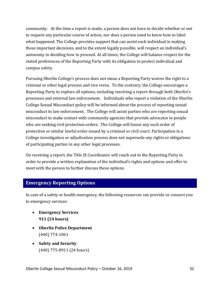community. At the time a report is made, a person does not have to decide whether or not to request any particular course of action, nor does a person need to know how to label what happened. The College provides support that can assist each individual in making these important decisions, and to the extent legally possible, will respect an individual's autonomy in deciding how to proceed. At all times, the College will balance respect for the stated preferences of the Reporting Party with its obligation to protect individual and campus safety.

Pursuing Oberlin College's process does not mean a Reporting Party waives the right to a criminal or other legal process and vice versa. To the contrary, the College encourages a Reporting Party to explore all options, including resolving a report through both Oberlin's processes and external law enforcement. Individuals who report a violation of the Oberlin College Sexual Misconduct policy will be informed about the process of reporting sexual misconduct to law enforcement. The College will assist parties who are reporting sexual misconduct to make contact with community agencies that provide advocates to people who are seeking civil protection orders. The College will honor any such order of protection or similar lawful order issued by a criminal or civil court. Participation in a College investigation or adjudication process does not supersede any rights or obligations of participating parties in any other legal processes.

On receiving a report, the Title IX Coordinator will reach out to the Reporting Party in order to provide a written explanation of the individual's rights and options and offer to meet with the person to further discuss these options.

### <span id="page-31-0"></span>**Emergency Reporting Options**

In case of a safety or health emergency, the following resources can provide or connect you to emergency services:

- **Emergency Services 911 (24 hours)**
- **Oberlin Police Department** (440) 774-1061
- **Safety and Security** (440) 775-8911 (24 hours)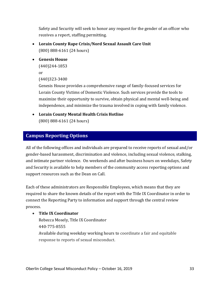Safety and Security will seek to honor any request for the gender of an officer who receives a report, staffing permitting.

- **Lorain County Rape Crisis/Nord Sexual Assault Care Unit** (800) 888-6161 (24 hours)
- **Genesis House**

(440)244-1853

```
or
```
(440)323-3400

Genesis House provides a comprehensive range of family-focused services for Lorain County Victims of Domestic Violence. Such services provide the tools to maximize their opportunity to survive, obtain physical and mental well-being and independence, and minimize the trauma involved in coping with family violence.

• **Lorain County Mental Health Crisis Hotline**

(800) 888-6161 (24 hours)

# <span id="page-32-0"></span>**Campus Reporting Options**

All of the following offices and individuals are prepared to receive reports of sexual and/or gender-based harassment, discrimination and violence, including sexual violence, stalking, and intimate partner violence. On weekends and after business hours on weekdays, Safety and Security is available to help members of the community access reporting options and support resources such as the Dean on Call.

Each of these administrators are Responsible Employees, which means that they are required to share the known details of the report with the Title IX Coordinator in order to connect the Reporting Party to information and support through the central review process.

### • **Title IX Coordinator**

Rebecca Mosely, Title IX Coordinator 440-775-8555

Available during weekday working hours to coordinate a fair and equitable response to reports of sexual misconduct.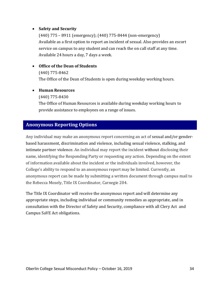### • **Safety and Security**

(440) 775 – 8911 (emergency); (440) 775-8444 (non-emergency) Available as a first option to report an incident of sexual. Also provides an escort service on campus to any student and can reach the on call staff at any time. Available 24 hours a day, 7 days a week.

### • **Office of the Dean of Students**

(440) 775-8462 The Office of the Dean of Students is open during weekday working hours.

### • **Human Resources**

(440) 775-8430

The Office of Human Resources is available during weekday working hours to provide assistance to employees on a range of issues.

# <span id="page-33-0"></span>**Anonymous Reporting Options**

Any individual may make an anonymous report concerning an act of sexual and/or genderbased harassment, discrimination and violence, including sexual violence, stalking, and intimate partner violence. An individual may report the incident without disclosing their name, identifying the Responding Party or requesting any action. Depending on the extent of information available about the incident or the individuals involved, however, the College's ability to respond to an anonymous report may be limited. Currently, an anonymous report can be made by submitting a written document through campus mail to the Rebecca Mosely, Title IX Coordinator, Carnegie 204.

The Title IX Coordinator will receive the anonymous report and will determine any appropriate steps, including individual or community remedies as appropriate, and in consultation with the Director of Safety and Security, compliance with all Clery Act and Campus SaVE Act obligations.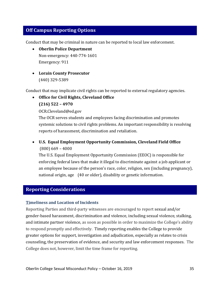# <span id="page-34-0"></span>**Off Campus Reporting Options**

Conduct that may be criminal in nature can be reported to local law enforcement.

- **[Oberlin Police Department](http://oberlinpd.com/)** Non-emergency: 440-774-1601 Emergency: 911
- **Lorain County Prosecutor** (440) 329-5389

Conduct that may implicate civil rights can be reported to external regulatory agencies.

- **[Office for Civil Rights,](http://www2.ed.gov/about/offices/list/ocr/index.html) [Cleveland Office](http://www2.ed.gov/about/offices/list/ocr/addresses.html)**
	- **(216) 522 – 4970**

OCR.Cleveland@ed.gov

The OCR serves students and employees facing discrimination and promotes systemic solutions to civil rights problems. An important responsibility is resolving reports of harassment, discrimination and retaliation.

• **U.S. Equal Employment Opportunity Commission, Cleveland Field Office** (800) 669 – 4000

The U.S. Equal Employment Opportunity Commission (EEOC) is responsible for enforcing federal laws that make it illegal to discriminate against a job applicant or an employee because of the person's race, color, religion, sex (including pregnancy), national origin, age (40 or older), disability or genetic information.

# <span id="page-34-1"></span>**Reporting Considerations**

### **Timeliness and Location of Incidents**

Reporting Parties and third-party witnesses are encouraged to report sexual and/or gender-based harassment, discrimination and violence, including sexual violence, stalking, and intimate partner violence, as soon as possible in order to maximize the College's ability to respond promptly and effectively. Timely reporting enables the College to provide greater options for support, investigation and adjudication, especially as relates to crisis counseling, the preservation of evidence, and security and law enforcement responses. The College does not, however, limit the time frame for reporting.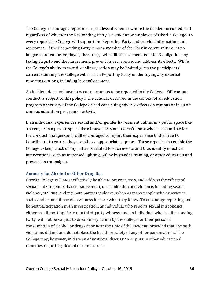The College encourages reporting, regardless of when or where the incident occurred, and regardless of whether the Responding Party is a student or employee of Oberlin College. In every report, the College will support the Reporting Party and provide information and assistance. If the Responding Party is not a member of the Oberlin community, or is no longer a student or employee, the College will still seek to meet its Title IX obligations by taking steps to end the harassment, prevent its recurrence, and address its effects. While the College's ability to take disciplinary action may be limited given the participants' current standing, the College will assist a Reporting Party in identifying any external reporting options, including law enforcement.

An incident does not have to occur on campus to be reported to the College. Off-campus conduct is subject to this policy if the conduct occurred in the context of an education program or activity of the College or had continuing adverse effects on campus or in an offcampus education program or activity.

If an individual experiences sexual and/or gender harassment online, in a public space like a street, or in a private space like a house party and doesn't know who is responsible for the conduct, that person is still encouraged to report their experience to the Title IX Coordinator to ensure they are offered appropriate support. These reports also enable the College to keep track of any patterns related to such events and thus identify effective interventions, such as increased lighting, online bystander training, or other education and prevention campaigns.

### **Amnesty for Alcohol or Other Drug Use**

Oberlin College will most effectively be able to prevent, stop, and address the effects of sexual and/or gender-based harassment, discrimination and violence, including sexual violence, stalking, and intimate partner violence, when as many people who experience such conduct and those who witness it share what they know. To encourage reporting and honest participation in an investigation, an individual who reports sexual misconduct, either as a Reporting Party or a third-party witness, and an individual who is a Responding Party, will not be subject to disciplinary action by the College for their personal consumption of alcohol or drugs at or near the time of the incident, provided that any such violations did not and do not place the health or safety of any other person at risk. The College may, however, initiate an educational discussion or pursue other educational remedies regarding alcohol or other drugs.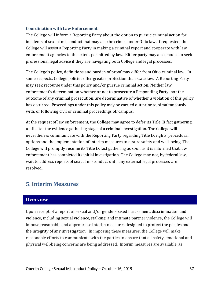### **Coordination with Law Enforcement**

The College will inform a Reporting Party about the option to pursue criminal action for incidents of sexual misconduct that may also be crimes under Ohio law. If requested, the College will assist a Reporting Party in making a criminal report and cooperate with law enforcement agencies to the extent permitted by law. Either party may also choose to seek professional legal advice if they are navigating both College and legal processes.

The College's policy, definitions and burden of proof may differ from Ohio criminal law. In some respects, College policies offer greater protection than state law. A Reporting Party may seek recourse under this policy and/or pursue criminal action. Neither law enforcement's determination whether or not to prosecute a Responding Party, nor the outcome of any criminal prosecution, are determinative of whether a violation of this policy has occurred. Proceedings under this policy may be carried out prior to, simultaneously with, or following civil or criminal proceedings off campus.

At the request of law enforcement, the College may agree to defer its Title IX fact gathering until after the evidence gathering stage of a criminal investigation. The College will nevertheless communicate with the Reporting Party regarding Title IX rights, procedural options and the implementation of interim measures to assure safety and well-being. The College will promptly resume its Title IX fact gathering as soon as it is informed that law enforcement has completed its initial investigation. The College may not, by federal law, wait to address reports of sexual misconduct until any external legal processes are resolved.

# <span id="page-36-0"></span>**5. Interim Measures**

# <span id="page-36-1"></span>**Overview**

Upon receipt of a report of sexual and/or gender-based harassment, discrimination and violence, including sexual violence, stalking, and intimate partner violence, the College will impose reasonable and appropriate interim measures designed to protect the parties and the integrity of any investigation. In imposing these measures, the College will make reasonable efforts to communicate with the parties to ensure that all safety, emotional and physical well-being concerns are being addressed. Interim measures are available, as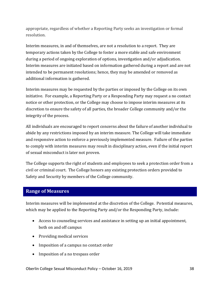appropriate, regardless of whether a Reporting Party seeks an investigation or formal resolution.

Interim measures, in and of themselves, are not a resolution to a report. They are temporary actions taken by the College to foster a more stable and safe environment during a period of ongoing exploration of options, investigation and/or adjudication. Interim measures are initiated based on information gathered during a report and are not intended to be permanent resolutions; hence, they may be amended or removed as additional information is gathered.

Interim measures may be requested by the parties or imposed by the College on its own initiative. For example, a Reporting Party or a Responding Party may request a no contact notice or other protection, or the College may choose to impose interim measures at its discretion to ensure the safety of all parties, the broader College community and/or the integrity of the process.

All individuals are encouraged to report concerns about the failure of another individual to abide by any restrictions imposed by an interim measure. The College will take immediate and responsive action to enforce a previously implemented measure. Failure of the parties to comply with interim measures may result in disciplinary action, even if the initial report of sexual misconduct is later not proven.

The College supports the right of students and employees to seek a protection order from a civil or criminal court. The College honors any existing protection orders provided to Safety and Security by members of the College community.

# <span id="page-37-0"></span>**Range of Measures**

Interim measures will be implemented at the discretion of the College. Potential measures, which may be applied to the Reporting Party and/or the Responding Party, include:

- Access to counseling services and assistance in setting up an initial appointment, both on and off campus
- Providing medical services
- Imposition of a campus no contact order
- Imposition of a no trespass order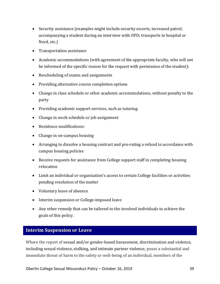- Security assistance (examples might include security escorts, increased patrol; accompanying a student during an interview with OPD; transports to hospital or Nord, etc.)
- Transportation assistance
- Academic accommodations (with agreement of the appropriate faculty, who will not be informed of the specific reason for the request with permission of the student):
- Rescheduling of exams and assignments
- Providing alternative course completion options
- Change in class schedule or other academic accommodations, without penalty to the party
- Providing academic support services, such as tutoring
- Change in work schedule or job assignment
- Residence modifications:
- Change in on-campus housing
- Arranging to dissolve a housing contract and pro-rating a refund in accordance with campus housing policies
- Receive requests for assistance from College support staff in completing housing relocation
- Limit an individual or organization's access to certain College facilities or activities pending resolution of the matter
- Voluntary leave of absence
- Interim suspension or College-imposed leave
- Any other remedy that can be tailored to the involved individuals to achieve the goals of this policy.

# <span id="page-38-0"></span>**Interim Suspension or Leave**

Where the report of sexual and/or gender-based harassment, discrimination and violence, including sexual violence, stalking, and intimate partner violence, poses a substantial and immediate threat of harm to the safety or well-being of an individual, members of the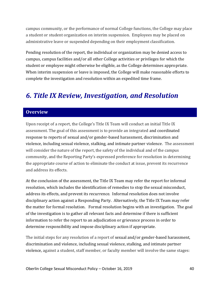campus community, or the performance of normal College functions, the College may place a student or student organization on interim suspension. Employees may be placed on administrative leave or suspended depending on their employment classification.

Pending resolution of the report, the individual or organization may be denied access to campus, campus facilities and/or all other College activities or privileges for which the student or employee might otherwise be eligible, as the College determines appropriate. When interim suspension or leave is imposed, the College will make reasonable efforts to complete the investigation and resolution within an expedited time frame.

# <span id="page-39-0"></span>*6. Title IX Review, Investigation, and Resolution*

# <span id="page-39-1"></span>**Overview**

Upon receipt of a report, the College's Title IX Team will conduct an initial Title IX assessment. The goal of this assessment is to provide an integrated and coordinated response to reports of sexual and/or gender-based harassment, discrimination and violence, including sexual violence, stalking, and intimate partner violence. The assessment will consider the nature of the report, the safety of the individual and of the campus community, and the Reporting Party's expressed preference for resolution in determining the appropriate course of action to eliminate the conduct at issue, prevent its recurrence and address its effects.

At the conclusion of the assessment, the Title IX Team may refer the report for informal resolution, which includes the identification of remedies to stop the sexual misconduct, address its effects, and prevent its recurrence. Informal resolution does not involve disciplinary action against a Responding Party. Alternatively, the Title IX Team may refer the matter for formal resolution. Formal resolution begins with an investigation. The goal of the investigation is to gather all relevant facts and determine if there is sufficient information to refer the report to an adjudication or grievance process in order to determine responsibility and impose disciplinary action if appropriate.

The initial steps for any resolution of a report of sexual and/or gender-based harassment, discrimination and violence, including sexual violence, stalking, and intimate partner violence, against a student, staff member, or faculty member will involve the same stages: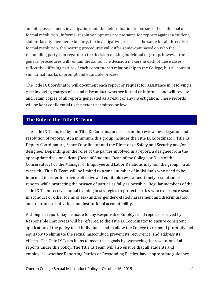an initial assessment, investigation, and the determination to pursue either informal or formal resolution. Informal resolution options are the same for reports against a student, staff or faculty member. Similarly, the investigative process is the same for all three. For formal resolution, the hearing procedures will differ somewhat based on who the responding party is in regards to the decision making individual or group, however the general procedures will remain the same. The decision makers in each of these cases reflect the differing nature of each constituent's relationship to the College, but all contain similar hallmarks of prompt and equitable process.

The Title IX Coordinator will document each report or request for assistance in resolving a case involving charges of sexual misconduct, whether formal or informal, and will review and retain copies of all reports generated as a result of any investigation. These records will be kept confidential to the extent permitted by law.

# <span id="page-40-0"></span>**The Role of the Title IX Team**

The Title IX Team, led by the Title IX Coordinator, assists in the review, investigation and resolution of reports. At a minimum, this group includes the Title IX Coordinator, Title IX Deputy Coordinators, Share Coordinator and the Director of Safety and Security and/or designee. Depending on the roles of the parties involved in a report, a designee from the appropriate divisional dean (Dean of Students, Dean of the College or Dean of the Conservatory) or the Manager of Employee and Labor Relations may join the group. In all cases, the Title IX Team will be limited to a small number of individuals who need to be informed in order to provide effective and equitable review and timely resolution of reports while protecting the privacy of parties as fully as possible. Regular members of the Title IX Team receive annual training in strategies to protect parties who experience sexual misconduct or other forms of sex- and/or gender-related harassment and discrimination and to promote individual and institutional accountability.

Although a report may be made to any Responsible Employee, all reports received by Responsible Employees will be referred to the Title IX Coordinator to ensure consistent application of the policy to all individuals and to allow the College to respond promptly and equitably to eliminate the sexual misconduct, prevent its recurrence, and address its effects. The Title IX Team helps to meet these goals by overseeing the resolution of all reports under this policy. The Title IX Team will also ensure that all students and employees, whether Reporting Parties or Responding Parties, have appropriate guidance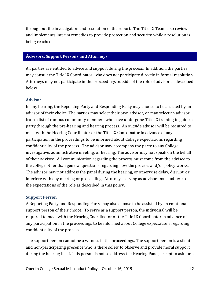throughout the investigation and resolution of the report. The Title IX Team also reviews and implements interim remedies to provide protection and security while a resolution is being reached.

### <span id="page-41-0"></span>**Advisors, Support Persons and Attorneys**

All parties are entitled to advice and support during the process. In addition, the parties may consult the Title IX Coordinator, who does not participate directly in formal resolution. Attorneys may not participate in the proceedings outside of the role of advisor as described below.

### **Advisor**

In any hearing, the Reporting Party and Responding Party may choose to be assisted by an advisor of their choice. The parties may select their own advisor, or may select an advisor from a list of campus community members who have undergone Title IX training to guide a party through the pre-hearing and hearing process. An outside advisor will be required to meet with the Hearing Coordinator or the Title IX Coordinator in advance of any participation in the proceedings to be informed about College expectations regarding confidentiality of the process. The advisor may accompany the party to any College investigative, administrative meeting, or hearing. The advisor may not speak on the behalf of their advisee. All communication regarding the process must come from the advisee to the college other than general questions regarding how the process and/or policy works. The advisor may not address the panel during the hearing, or otherwise delay, disrupt, or interfere with any meeting or proceeding. Attorneys serving as advisors must adhere to the expectations of the role as described in this policy.

### **Support Person**

A Reporting Party and Responding Party may also choose to be assisted by an emotional support person of their choice. To serve as a support person, the individual will be required to meet with the Hearing Coordinator or the Title IX Coordinator in advance of any participation in the proceedings to be informed about College expectations regarding confidentiality of the process.

The support person cannot be a witness in the proceedings. The support person is a silent and non-participating presence who is there solely to observe and provide moral support during the hearing itself. This person is not to address the Hearing Panel, except to ask for a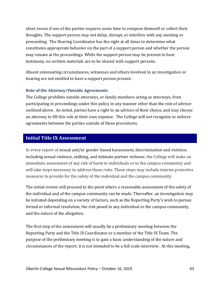short recess if one of the parties requires some time to compose themself or collect their thoughts. The support person may not delay, disrupt, or interfere with any meeting or proceeding. The Hearing Coordinator has the right at all times to determine what constitutes appropriate behavior on the part of a support person and whether the person may remain at the proceedings. While the support person may be present to hear testimony, no written materials are to be shared with support persons.

Absent extenuating circumstances, witnesses and others involved in an investigation or hearing are not entitled to have a support person present.

### **Role of the Attorney/Outside Agreements**

The College prohibits outside attorneys, or family members acting as attorneys, from participating in proceedings under this policy in any manner other than the role of advisor outlined above. As noted, parties have a right to an advisor of their choice, and may choose an attorney to fill this role at their own expense. The College will not recognize or enforce agreements between the parties outside of these procedures.

### <span id="page-42-0"></span>**Initial Title IX Assessment**

In every report of sexual and/or gender-based harassment, discrimination and violence, including sexual violence, stalking, and intimate partner violence, the College will make an immediate assessment of any risk of harm to individuals or to the campus community and will take steps necessary to address those risks. These steps may include interim protective measures to provide for the safety of the individual and the campus community.

The initial review will proceed to the point where a reasonable assessment of the safety of the individual and of the campus community can be made. Thereafter, an investigation may be initiated depending on a variety of factors, such as the Reporting Party's wish to pursue formal or informal resolution, the risk posed to any individual or the campus community, and the nature of the allegation.

The first step of the assessment will usually be a preliminary meeting between the Reporting Party and the Title IX Coordinator or a member of the Title IX Team. The purpose of the preliminary meeting is to gain a basic understanding of the nature and circumstances of the report; it is not intended to be a full scale interview. At this meeting,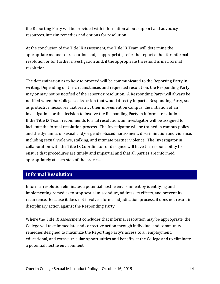the Reporting Party will be provided with information about support and advocacy resources, interim remedies and options for resolution.

At the conclusion of the Title IX assessment, the Title IX Team will determine the appropriate manner of resolution and, if appropriate, refer the report either for informal resolution or for further investigation and, if the appropriate threshold is met, formal resolution.

The determination as to how to proceed will be communicated to the Reporting Party in writing. Depending on the circumstances and requested resolution, the Responding Party may or may not be notified of the report or resolution. A Responding Party will always be notified when the College seeks action that would directly impact a Responding Party, such as protective measures that restrict their movement on campus, the initiation of an investigation, or the decision to involve the Responding Party in informal resolution. If the Title IX Team recommends formal resolution, an Investigator will be assigned to facilitate the formal resolution process. The Investigator will be trained in campus policy and the dynamics of sexual and/or gender-based harassment, discrimination and violence, including sexual violence, stalking, and intimate partner violence. The Investigator in collaboration with the Title IX Coordinator or designee will have the responsibility to ensure that procedures are timely and impartial and that all parties are informed appropriately at each step of the process.

# <span id="page-43-0"></span>**Informal Resolution**

Informal resolution eliminates a potential hostile environment by identifying and implementing remedies to stop sexual misconduct, address its effects, and prevent its recurrence. Because it does not involve a formal adjudication process, it does not result in disciplinary action against the Responding Party.

Where the Title IX assessment concludes that informal resolution may be appropriate, the College will take immediate and corrective action through individual and community remedies designed to maximize the Reporting Party's access to all employment, educational, and extracurricular opportunities and benefits at the College and to eliminate a potential hostile environment.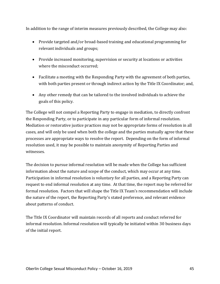In addition to the range of interim measures previously described, the College may also:

- Provide targeted and/or broad-based training and educational programming for relevant individuals and groups;
- Provide increased monitoring, supervision or security at locations or activities where the misconduct occurred;
- Facilitate a meeting with the Responding Party with the agreement of both parties, with both parties present or through indirect action by the Title IX Coordinator; and,
- Any other remedy that can be tailored to the involved individuals to achieve the goals of this policy.

The College will not compel a Reporting Party to engage in mediation, to directly confront the Responding Party, or to participate in any particular form of informal resolution. Mediation or restorative justice practices may not be appropriate forms of resolution in all cases, and will only be used when both the college and the parties mutually agree that these processes are appropriate ways to resolve the report. Depending on the form of informal resolution used, it may be possible to maintain anonymity of Reporting Parties and witnesses.

The decision to pursue informal resolution will be made when the College has sufficient information about the nature and scope of the conduct, which may occur at any time. Participation in informal resolution is voluntary for all parties, and a Reporting Party can request to end informal resolution at any time. At that time, the report may be referred for formal resolution. Factors that will shape the Title IX Team's recommendation will include the nature of the report, the Reporting Party's stated preference, and relevant evidence about patterns of conduct.

The Title IX Coordinator will maintain records of all reports and conduct referred for informal resolution. Informal resolution will typically be initiated within 30 business days of the initial report.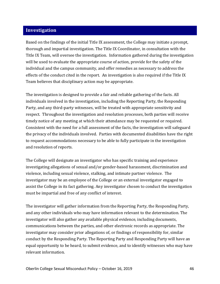# <span id="page-45-0"></span>**Investigation**

Based on the findings of the initial Title IX assessment, the College may initiate a prompt, thorough and impartial investigation. The Title IX Coordinator, in consultation with the Title IX Team, will oversee the investigation. Information gathered during the investigation will be used to evaluate the appropriate course of action, provide for the safety of the individual and the campus community, and offer remedies as necessary to address the effects of the conduct cited in the report. An investigation is also required if the Title IX Team believes that disciplinary action may be appropriate.

The investigation is designed to provide a fair and reliable gathering of the facts. All individuals involved in the investigation, including the Reporting Party, the Responding Party, and any third-party witnesses, will be treated with appropriate sensitivity and respect. Throughout the investigation and resolution processes, both parties will receive timely notice of any meeting at which their attendance may be requested or required. Consistent with the need for a full assessment of the facts, the investigation will safeguard the privacy of the individuals involved. Parties with documented disabilities have the right to request accommodations necessary to be able to fully participate in the investigation and resolution of reports.

The College will designate an investigator who has specific training and experience investigating allegations of sexual and/or gender-based harassment, discrimination and violence, including sexual violence, stalking, and intimate partner violence. The investigator may be an employee of the College or an external investigator engaged to assist the College in its fact gathering. Any investigator chosen to conduct the investigation must be impartial and free of any conflict of interest.

The investigator will gather information from the Reporting Party, the Responding Party, and any other individuals who may have information relevant to the determination. The investigator will also gather any available physical evidence, including documents, communications between the parties, and other electronic records as appropriate. The investigator may consider prior allegations of, or findings of responsibility for, similar conduct by the Responding Party. The Reporting Party and Responding Party will have an equal opportunity to be heard, to submit evidence, and to identify witnesses who may have relevant information.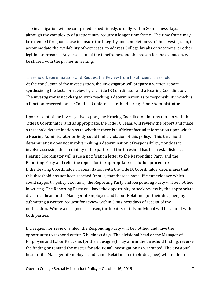The investigation will be completed expeditiously, usually within 30 business days, although the complexity of a report may require a longer time frame. The time frame may be extended for good cause to ensure the integrity and completeness of the investigation, to accommodate the availability of witnesses, to address College breaks or vacations, or other legitimate reasons. Any extension of the timeframes, and the reason for the extension, will be shared with the parties in writing.

### Threshold Determinations and Request for Review from Insufficient Threshold

At the conclusion of the investigation, the investigator will prepare a written report synthesizing the facts for review by the Title IX Coordinator and a Hearing Coordinator. The investigator is not charged with reaching a determination as to responsibility, which is a function reserved for the Conduct Conference or the Hearing Panel/Administrator.

Upon receipt of the investigative report, the Hearing Coordinator, in consultation with the Title IX Coordinator, and as appropriate, the Title IX Team, will review the report and make a threshold determination as to whether there is sufficient factual information upon which a Hearing Administrator or Body could find a violation of this policy. This threshold determination does not involve making a determination of responsibility, nor does it involve assessing the credibility of the parties. If the threshold has been established, the Hearing Coordinator will issue a notification letter to the Responding Party and the Reporting Party and refer the report for the appropriate resolution procedures. If the Hearing Coordinator, in consultation with the Title IX Coordinator, determines that this threshold has not been reached (that is, that there is not sufficient evidence which could support a policy violation), the Reporting Party and Responding Party will be notified in writing. The Reporting Party will have the opportunity to seek review by the appropriate divisional head or the Manager of Employee and Labor Relations (or their designee) by submitting a written request for review within 5 business days of receipt of the notification. Where a designee is chosen, the identity of this individual will be shared with both parties.

If a request for review is filed, the Responding Party will be notified and have the opportunity to respond within 5 business days. The divisional head or the Manager of Employee and Labor Relations (or their designee) may affirm the threshold finding, reverse the finding or remand the matter for additional investigation as warranted. The divisional head or the Manager of Employee and Labor Relations (or their designee) will render a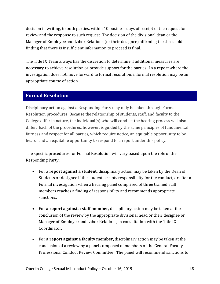decision in writing, to both parties, within 10 business days of receipt of the request for review and the response to such request. The decision of the divisional dean or the Manager of Employee and Labor Relations (or their designee) affirming the threshold finding that there is insufficient information to proceed is final.

The Title IX Team always has the discretion to determine if additional measures are necessary to achieve resolution or provide support for the parties. In a report where the investigation does not move forward to formal resolution, informal resolution may be an appropriate course of action.

### <span id="page-47-0"></span>**Formal Resolution**

Disciplinary action against a Responding Party may only be taken through Formal Resolution procedures. Because the relationship of students, staff, and faculty to the College differ in nature, the individual(s) who will conduct the hearing process will also differ. Each of the procedures, however, is guided by the same principles of fundamental fairness and respect for all parties, which require notice, an equitable opportunity to be heard, and an equitable opportunity to respond to a report under this policy.

The specific procedures for Formal Resolution will vary based upon the role of the Responding Party:

- For a **report against a student**, disciplinary action may be taken by the Dean of Students or designee if the student accepts responsibility for the conduct, or after a Formal investigation when a hearing panel comprised of three trained staff members reaches a finding of responsibility and recommends appropriate sanctions.
- For **a report against a staff member**, disciplinary action may be taken at the conclusion of the review by the appropriate divisional head or their designee or Manager of Employee and Labor Relations, in consultation with the Title IX Coordinator.
- For **a report against a faculty member**, disciplinary action may be taken at the conclusion of a review by a panel composed of members of the General Faculty Professional Conduct Review Committee. The panel will recommend sanctions to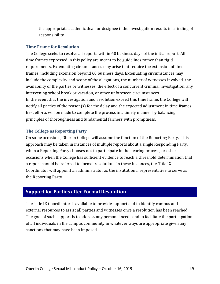the appropriate academic dean or designee if the investigation results in a finding of responsibility.

#### **Time Frame for Resolution**

The College seeks to resolve all reports within 60 business days of the initial report. All time frames expressed in this policy are meant to be guidelines rather than rigid requirements. Extenuating circumstances may arise that require the extension of time frames, including extension beyond 60 business days. Extenuating circumstances may include the complexity and scope of the allegations, the number of witnesses involved, the availability of the parties or witnesses, the effect of a concurrent criminal investigation, any intervening school break or vacation, or other unforeseen circumstances. In the event that the investigation and resolution exceed this time frame, the College will notify all parties of the reason(s) for the delay and the expected adjustment in time frames. Best efforts will be made to complete the process in a timely manner by balancing principles of thoroughness and fundamental fairness with promptness.

### **The College as Reporting Party**

On some occasions, Oberlin College will assume the function of the Reporting Party. This approach may be taken in instances of multiple reports about a single Responding Party, when a Reporting Party chooses not to participate in the hearing process, or other occasions when the College has sufficient evidence to reach a threshold determination that a report should be referred to formal resolution. In these instances, the Title IX Coordinator will appoint an administrator as the institutional representative to serve as the Reporting Party.

### <span id="page-48-0"></span>**Support for Parties after Formal Resolution**

The Title IX Coordinator is available to provide support and to identify campus and external resources to assist all parties and witnesses once a resolution has been reached. The goal of such support is to address any personal needs and to facilitate the participation of all individuals in the campus community in whatever ways are appropriate given any sanctions that may have been imposed.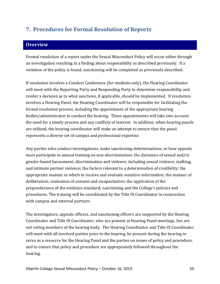# <span id="page-49-0"></span>**7. Procedures for Formal Resolution of Reports**

# <span id="page-49-1"></span>**Overview**

Formal resolution of a report under the Sexual Misconduct Policy will occur either through an investigation resulting in a finding about responsibility as described previously. If a violation of the policy is found, sanctioning will be completed as previously described.

If resolution involves a Conduct Conference (for students only), the Hearing Coordinator will meet with the Reporting Party and Responding Party to determine responsibility and render a decision as to what sanctions, if applicable, should be implemented. If resolution involves a Hearing Panel, the Hearing Coordinator will be responsible for facilitating the formal resolution process, including the appointment of the appropriate hearing bodies/administrator to conduct the hearing. These appointments will take into account the need for a timely process and any conflicts of interest. In addition, when hearing panels are utilized, the hearing coordinator will make an attempt to ensure that the panel represents a diverse set of campus and professional expertise.

Any parties who conduct investigations, make sanctioning determinations, or hear appeals must participate in annual training on non-discrimination; the dynamics of sexual and/or gender-based harassment, discrimination and violence, including sexual violence, stalking, and intimate partner violence; the factors relevant to a determination of credibility; the appropriate manner in which to receive and evaluate sensitive information; the manner of deliberation; evaluation of consent and incapacitation; the application of the preponderance of the evidence standard; sanctioning and the College's policies and procedures. The training will be coordinated by the Title IX Coordinator in conjunction with campus and external partners.

The investigators, appeals officers, and sanctioning officers are supported by the Hearing Coordinator and Title IX Coordinator, who are present at Hearing Panel meetings, but are not voting members of the hearing body. The Hearing Coordinator and Title IX Coordinator will meet with all involved parties prior to the hearing, be present during the hearing to serve as a resource for the Hearing Panel and the parties on issues of policy and procedure, and to ensure that policy and procedure are appropriately followed throughout the hearing.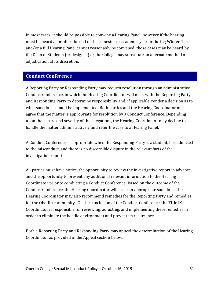In most cases, it should be possible to convene a Hearing Panel; however if the hearing must be heard at or after the end of the semester or academic year or during Winter Term and/or a full Hearing Panel cannot reasonably be convened, those cases may be heard by the Dean of Students (or designee) or the College may substitute an alternate method of adjudication at its discretion.

### <span id="page-50-0"></span>**Conduct Conference**

A Reporting Party or Responding Party may request resolution through an administrative Conduct Conference, in which the Hearing Coordinator will meet with the Reporting Party and Responding Party to determine responsibility and, if applicable, render a decision as to what sanctions should be implemented. Both parties and the Hearing Coordinator must agree that the matter is appropriate for resolution by a Conduct Conference. Depending upon the nature and severity of the allegations, the Hearing Coordinator may decline to handle the matter administratively and refer the case to a Hearing Panel.

A Conduct Conference is appropriate when the Responding Party is a student, has admitted to the misconduct, and there is no discernible dispute in the relevant facts of the investigation report.

All parties must have notice, the opportunity to review the investigative report in advance, and the opportunity to present any additional relevant information to the Hearing Coordinator prior to conducting a Conduct Conference. Based on the outcome of the Conduct Conference, the Hearing Coordinator will issue an appropriate sanction. The Hearing Coordinator may also recommend remedies for the Reporting Party and remedies for the Oberlin community. On the conclusion of the Conduct Conference, the Title IX Coordinator is responsible for reviewing, adjusting, and implementing these remedies in order to eliminate the hostile environment and prevent its recurrence.

Both a Reporting Party and Responding Party may appeal the determination of the Hearing Coordinator as provided in the Appeal section below.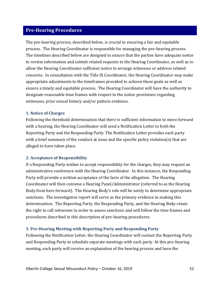# <span id="page-51-0"></span>**Pre-Hearing Procedures**

The pre-hearing process, described below, is crucial to ensuring a fair and equitable process. The Hearing Coordinator is responsible for managing the pre-hearing process. The timelines described below are designed to ensure that the parties have adequate notice to review information and submit related requests to the Hearing Coordinator, as well as to allow the Hearing Coordinator sufficient notice to arrange witnesses or address related concerns. In consultation with the Title IX Coordinator, the Hearing Coordinator may make appropriate adjustments to the timeframes provided to achieve these goals as well as ensure a timely and equitable process. The Hearing Coordinator will have the authority to designate reasonable time frames with respect to the notice provisions regarding witnesses, prior sexual history and/or pattern evidence.

### **1. Notice of Charges**

Following the threshold determination that there is sufficient information to move forward with a hearing, the Hearing Coordinator will send a Notification Letter to both the Reporting Party and the Responding Party. The Notification Letter provides each party with a brief summary of the conduct at issue and the specific policy violation(s) that are alleged to have taken place.

### **2. Acceptance of Responsibility**

If a Responding Party wishes to accept responsibility for the charges, they may request an administrative conference with the Hearing Coordinator. In this instance, the Responding Party will provide a written acceptance of the facts of the allegation. The Hearing Coordinator will then convene a Hearing Panel/Administrator (referred to as the Hearing Body from here forward). The Hearing Body's role will be solely to determine appropriate sanctions. The investigative report will serve as the primary evidence in making this determination. The Reporting Party, the Responding Party, and the Hearing Body retain the right to call witnesses in order to assess sanctions and will follow the time frames and procedures described in this description of pre-hearing procedures.

### **3. Pre-Hearing Meeting with Reporting Party and Responding Party**

Following the Notification Letter, the Hearing Coordinator will contact the Reporting Party and Responding Party to schedule separate meetings with each party. At this pre-hearing meeting, each party will receive an explanation of the hearing process and have the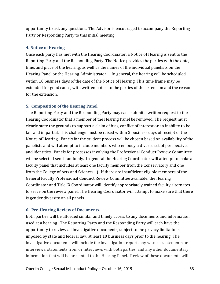opportunity to ask any questions. The Advisor is encouraged to accompany the Reporting Party or Responding Party to this initial meeting.

### **4. Notice of Hearing**

Once each party has met with the Hearing Coordinator, a Notice of Hearing is sent to the Reporting Party and the Responding Party. The Notice provides the parties with the date, time, and place of the hearing, as well as the names of the individual panelists on the Hearing Panel or the Hearing Administrator. In general, the hearing will be scheduled within 10 business days of the date of the Notice of Hearing. This time frame may be extended for good cause, with written notice to the parties of the extension and the reason for the extension.

### **5. Composition of the Hearing Panel**

The Reporting Party and the Responding Party may each submit a written request to the Hearing Coordinator that a member of the Hearing Panel be removed. The request must clearly state the grounds to support a claim of bias, conflict of interest or an inability to be fair and impartial. This challenge must be raised within 2 business days of receipt of the Notice of Hearing. Panels for the student process will be chosen based on availability of the panelists and will attempt to include members who embody a diverse set of perspectives and identities. Panels for processes involving the Professional Conduct Review Committee will be selected semi-randomly. In general the Hearing Coordinator will attempt to make a faculty panel that includes at least one faculty member from the Conservatory and one from the College of Arts and Sciences. ). If there are insufficient eligible members of the General Faculty Professional Conduct Review Committee available, the Hearing Coordinator and Title IX Coordinator will identify appropriately trained faculty alternates to serve on the review panel. The Hearing Coordinator will attempt to make sure that there is gender diversity on all panels.

### **6. Pre-Hearing Review of Documents.**

Both parties will be afforded similar and timely access to any documents and information used at a hearing. The Reporting Party and the Responding Party will each have the opportunity to review all investigative documents, subject to the privacy limitations imposed by state and federal law, at least 10 business days prior to the hearing. The investigative documents will include the investigation report, any witness statements or interviews, statements from or interviews with both parties, and any other documentary information that will be presented to the Hearing Panel. Review of these documents will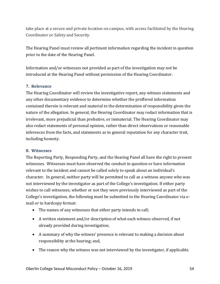take place at a secure and private location on campus, with access facilitated by the Hearing Coordinator or Safety and Security.

The Hearing Panel must review all pertinent information regarding the incident in question prior to the date of the Hearing Panel.

Information and/or witnesses not provided as part of the investigation may not be introduced at the Hearing Panel without permission of the Hearing Coordinator.

### **7. Relevance**

The Hearing Coordinator will review the investigative report, any witness statements and any other documentary evidence to determine whether the proffered information contained therein is relevant and material to the determination of responsibility given the nature of the allegation. In general, the Hearing Coordinator may redact information that is irrelevant, more prejudicial than probative, or immaterial. The Hearing Coordinator may also redact statements of personal opinion, rather than direct observations or reasonable inferences from the facts, and statements as to general reputation for any character trait, including honesty.

### **8. Witnesses**

The Reporting Party, Responding Party, and the Hearing Panel all have the right to present witnesses. Witnesses must have observed the conduct in question or have information relevant to the incident and cannot be called solely to speak about an individual's character. In general, neither party will be permitted to call as a witness anyone who was not interviewed by the investigator as part of the College's investigation. If either party wishes to call witnesses, whether or not they were previously interviewed as part of the College's investigation, the following must be submitted to the Hearing Coordinator via email or in hardcopy format:

- The names of any witnesses that either party intends to call;
- A written statement and/or description of what each witness observed, if not already provided during investigation;
- A summary of why the witness' presence is relevant to making a decision about responsibility at the hearing; and,
- The reason why the witness was not interviewed by the investigator, if applicable.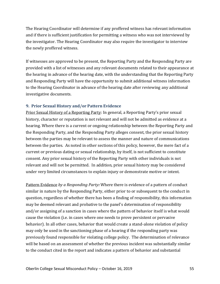The Hearing Coordinator will determine if any proffered witness has relevant information and if there is sufficient justification for permitting a witness who was not interviewed by the investigator. The Hearing Coordinator may also require the investigator to interview the newly proffered witness.

If witnesses are approved to be present, the Reporting Party and the Responding Party are provided with a list of witnesses and any relevant documents related to their appearance at the hearing in advance of the hearing date, with the understanding that the Reporting Party and Responding Party will have the opportunity to submit additional witness information to the Hearing Coordinator in advance of the hearing date after reviewing any additional investigative documents.

### **9. Prior Sexual History and/or Pattern Evidence**

Prior Sexual History of a Reporting Party: In general, a Reporting Party's prior sexual history, character or reputation is not relevant and will not be admitted as evidence at a hearing. Where there is a current or ongoing relationship between the Reporting Party and the Responding Party, and the Responding Party alleges consent, the prior sexual history between the parties may be relevant to assess the manner and nature of communications between the parties. As noted in other sections of this policy, however, the mere fact of a current or previous dating or sexual relationship, by itself, is not sufficient to constitute consent. Any prior sexual history of the Reporting Party with other individuals is not relevant and will not be permitted. In addition, prior sexual history may be considered under very limited circumstances to explain injury or demonstrate motive or intent.

Pattern Evidence *by a Responding Party:* Where there is evidence of a pattern of conduct similar in nature by the Responding Party, either prior to or subsequent to the conduct in question, regardless of whether there has been a finding of responsibility, this information may be deemed relevant and probative to the panel's determination of responsibility and/or assigning of a sanction in cases where the pattern of behavior itself is what would cause the violation (i.e. in cases where one needs to prove persistent or pervasive behavior). In all other cases, behavior that would create a stand-alone violation of policy may only be used in the sanctioning phase of a hearing if the responding party was previously found responsible for violating college policy. The determination of relevance will be based on an assessment of whether the previous incident was substantially similar to the conduct cited in the report and indicates a pattern of behavior and substantial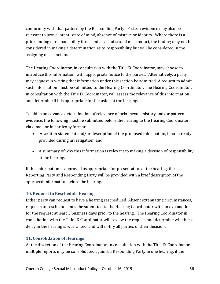conformity with that pattern by the Responding Party. Pattern evidence may also be relevant to prove intent, state of mind, absence of mistake or identity. Where there is a prior finding of responsibility for a similar act of sexual misconduct, the finding may not be considered in making a determination as to responsibility but will be considered in the assigning of a sanction.

The Hearing Coordinator, in consultation with the Title IX Coordinator, may choose to introduce this information, with appropriate notice to the parties. Alternatively, a party may request in writing that information under this section be admitted. A request to admit such information must be submitted to the Hearing Coordinator. The Hearing Coordinator, in consultation with the Title IX Coordinator, will assess the relevance of this information and determine if it is appropriate for inclusion at the hearing.

To aid in an advance determination of relevance of prior sexual history and/or pattern evidence, the following must be submitted before the hearing to the Hearing Coordinator via e-mail or in hardcopy format:

- A written statement and/or description of the proposed information, if not already provided during investigation; and
- A summary of why this information is relevant to making a decision of responsibility at the hearing.

If this information is approved as appropriate for presentation at the hearing, the Reporting Party and Responding Party will be provided with a brief description of the approved information before the hearing.

### **10. Request to Reschedule Hearing**

Either party can request to have a hearing rescheduled. Absent extenuating circumstances, requests to reschedule must be submitted to the Hearing Coordinator with an explanation for the request at least 3 business days prior to the hearing. The Hearing Coordinator in consultation with the Title IX Coordinator will review the request and determine whether a delay in the hearing is warranted, and will notify all parties of their decision.

### **11. Consolidation of Hearings**

At the discretion of the Hearing Coordinator, in consultation with the Title IX Coordinator, multiple reports may be consolidated against a Responding Party in one hearing, if the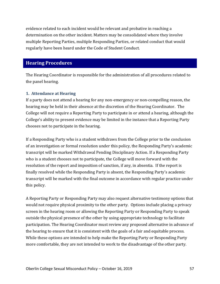evidence related to each incident would be relevant and probative in reaching a determination on the other incident. Matters may be consolidated where they involve multiple Reporting Parties, multiple Responding Parties, or related conduct that would regularly have been heard under the Code of Student Conduct.

# <span id="page-56-0"></span>**Hearing Procedures**

The Hearing Coordinator is responsible for the administration of all procedures related to the panel hearing.

### **1. Attendance at Hearing**

If a party does not attend a hearing for any non-emergency or non-compelling reason, the hearing may be held in their absence at the discretion of the Hearing Coordinator. The College will not require a Reporting Party to participate in or attend a hearing, although the College's ability to present evidence may be limited in the instance that a Reporting Party chooses not to participate in the hearing.

If a Responding Party who is a student withdraws from the College prior to the conclusion of an investigation or formal resolution under this policy, the Responding Party's academic transcript will be marked Withdrawal Pending Disciplinary Action. If a Responding Party who is a student chooses not to participate, the College will move forward with the resolution of the report and imposition of sanction, if any, in absentia. If the report is finally resolved while the Responding Party is absent, the Responding Party's academic transcript will be marked with the final outcome in accordance with regular practice under this policy.

A Reporting Party or Responding Party may also request alternative testimony options that would not require physical proximity to the other party. Options include placing a privacy screen in the hearing room or allowing the Reporting Party or Responding Party to speak outside the physical presence of the other by using appropriate technology to facilitate participation. The Hearing Coordinator must review any proposed alternative in advance of the hearing to ensure that it is consistent with the goals of a fair and equitable process. While these options are intended to help make the Reporting Party or Responding Party more comfortable, they are not intended to work to the disadvantage of the other party.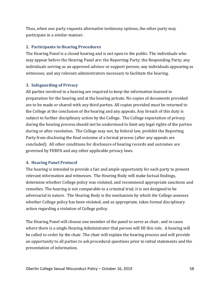Thus, when one party requests alternative testimony options, the other party may participate in a similar manner.

### **2. Participants in Hearing Procedures**

The Hearing Panel is a closed hearing and is not open to the public. The individuals who may appear before the Hearing Panel are: the Reporting Party; the Responding Party; any individuals serving as an approved advisor or support person; any individuals appearing as witnesses; and any relevant administrators necessary to facilitate the hearing.

### **3. Safeguarding of Privacy**

All parties involved in a hearing are required to keep the information learned in preparation for the hearing and at the hearing private. No copies of documents provided are to be made or shared with any third parties. All copies provided must be returned to the College at the conclusion of the hearing and any appeals. Any breach of this duty is subject to further disciplinary action by the College. The College expectation of privacy during the hearing process should not be understood to limit any legal rights of the parties during or after resolution. The College may not, by federal law, prohibit the Reporting Party from disclosing the final outcome of a formal process (after any appeals are concluded). All other conditions for disclosure of hearing records and outcomes are governed by FERPA and any other applicable privacy laws.

### **4. Hearing Panel Protocol**

The hearing is intended to provide a fair and ample opportunity for each party to present relevant information and witnesses. The Hearing Body will make factual findings, determine whether College policy was violated, and recommend appropriate sanctions and remedies. The hearing is not comparable to a criminal trial; it is not designed to be adversarial in nature. The Hearing Body is the mechanism by which the College assesses whether College policy has been violated, and as appropriate, takes formal disciplinary action regarding a violation of College policy.

The Hearing Panel will choose one member of the panel to serve as chair, and in cases where there is a single Hearing Administrator that person will fill this role. A hearing will be called to order by the chair. The chair will explain the hearing process and will provide an opportunity to all parties to ask procedural questions prior to initial statements and the presentation of information.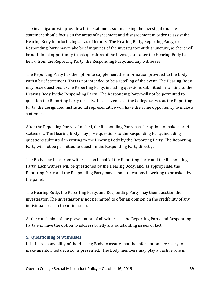The investigator will provide a brief statement summarizing the investigation. The statement should focus on the areas of agreement and disagreement in order to assist the Hearing Body in prioritizing areas of inquiry. The Hearing Body, Reporting Party, or Responding Party may make brief inquiries of the investigator at this juncture, as there will be additional opportunity to ask questions of the investigator after the Hearing Body has heard from the Reporting Party, the Responding Party, and any witnesses.

The Reporting Party has the option to supplement the information provided to the Body with a brief statement. This is not intended to be a retelling of the event. The Hearing Body may pose questions to the Reporting Party, including questions submitted in writing to the Hearing Body by the Responding Party. The Responding Party will not be permitted to question the Reporting Party directly. In the event that the College serves as the Reporting Party, the designated institutional representative will have the same opportunity to make a statement.

After the Reporting Party is finished, the Responding Party has the option to make a brief statement. The Hearing Body may pose questions to the Responding Party, including questions submitted in writing to the Hearing Body by the Reporting Party. The Reporting Party will not be permitted to question the Responding Party directly.

The Body may hear from witnesses on behalf of the Reporting Party and the Responding Party. Each witness will be questioned by the Hearing Body, and, as appropriate, the Reporting Party and the Responding Party may submit questions in writing to be asked by the panel.

The Hearing Body, the Reporting Party, and Responding Party may then question the investigator. The investigator is not permitted to offer an opinion on the credibility of any individual or as to the ultimate issue.

At the conclusion of the presentation of all witnesses, the Reporting Party and Responding Party will have the option to address briefly any outstanding issues of fact.

### **5. Questioning of Witnesses**

It is the responsibility of the Hearing Body to assure that the information necessary to make an informed decision is presented. The Body members may play an active role in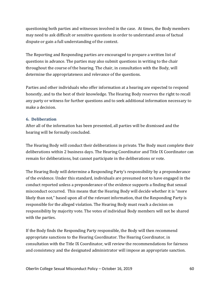questioning both parties and witnesses involved in the case. At times, the Body members may need to ask difficult or sensitive questions in order to understand areas of factual dispute or gain a full understanding of the context.

The Reporting and Responding parties are encouraged to prepare a written list of questions in advance. The parties may also submit questions in writing to the chair throughout the course of the hearing. The chair, in consultation with the Body, will determine the appropriateness and relevance of the questions.

Parties and other individuals who offer information at a hearing are expected to respond honestly, and to the best of their knowledge. The Hearing Body reserves the right to recall any party or witness for further questions and to seek additional information necessary to make a decision.

### **6. Deliberation**

After all of the information has been presented, all parties will be dismissed and the hearing will be formally concluded.

The Hearing Body will conduct their deliberations in private. The Body must complete their deliberations within 2 business days. The Hearing Coordinator and Title IX Coordinator can remain for deliberations, but cannot participate in the deliberations or vote.

The Hearing Body will determine a Responding Party's responsibility by a preponderance of the evidence. Under this standard, individuals are presumed not to have engaged in the conduct reported unless a preponderance of the evidence supports a finding that sexual misconduct occurred. This means that the Hearing Body will decide whether it is "more likely than not," based upon all of the relevant information, that the Responding Party is responsible for the alleged violation. The Hearing Body must reach a decision on responsibility by majority vote. The votes of individual Body members will not be shared with the parties.

If the Body finds the Responding Party responsible, the Body will then recommend appropriate sanctions to the Hearing Coordinator. The Hearing Coordinator, in consultation with the Title IX Coordinator, will review the recommendations for fairness and consistency and the designated administrator will impose an appropriate sanction.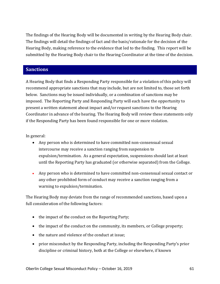The findings of the Hearing Body will be documented in writing by the Hearing Body chair. The findings will detail the findings of fact and the basis/rationale for the decision of the Hearing Body, making reference to the evidence that led to the finding. This report will be submitted by the Hearing Body chair to the Hearing Coordinator at the time of the decision.

### <span id="page-60-0"></span>**Sanctions**

A Hearing Body that finds a Responding Party responsible for a violation of this policy will recommend appropriate sanctions that may include, but are not limited to, those set forth below. Sanctions may be issued individually, or a combination of sanctions may be imposed. The Reporting Party and Responding Party will each have the opportunity to present a written statement about impact and/or request sanctions to the Hearing Coordinator in advance of the hearing. The Hearing Body will review these statements only if the Responding Party has been found responsible for one or more violation.

In general:

- Any person who is determined to have committed non-consensual sexual intercourse may receive a sanction ranging from suspension to expulsion/termination. As a general expectation, suspensions should last at least until the Reporting Party has graduated (or otherwise separated) from the College.
- Any person who is determined to have committed non-consensual sexual contact or any other prohibited form of conduct may receive a sanction ranging from a warning to expulsion/termination.

The Hearing Body may deviate from the range of recommended sanctions, based upon a full consideration of the following factors:

- the impact of the conduct on the Reporting Party;
- the impact of the conduct on the community, its members, or College property;
- the nature and violence of the conduct at issue;
- prior misconduct by the Responding Party, including the Responding Party's prior discipline or criminal history, both at the College or elsewhere, if known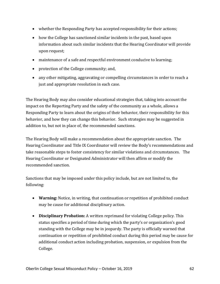- whether the Responding Party has accepted responsibility for their actions;
- how the College has sanctioned similar incidents in the past, based upon information about such similar incidents that the Hearing Coordinator will provide upon request;
- maintenance of a safe and respectful environment conducive to learning;
- protection of the College community; and,
- any other mitigating, aggravating or compelling circumstances in order to reach a just and appropriate resolution in each case.

The Hearing Body may also consider educational strategies that, taking into account the impact on the Reporting Party and the safety of the community as a whole, allows a Responding Party to learn about the origins of their behavior, their responsibility for this behavior, and how they can change this behavior. Such strategies may be suggested in addition to, but not in place of, the recommended sanctions.

The Hearing Body will make a recommendation about the appropriate sanction. The Hearing Coordinator and Title IX Coordinator will review the Body's recommendations and take reasonable steps to foster consistency for similar violations and circumstances. The Hearing Coordinator or Designated Administrator will then affirm or modify the recommended sanction.

Sanctions that may be imposed under this policy include, but are not limited to, the following:

- **Warning:** Notice, in writing, that continuation or repetition of prohibited conduct may be cause for additional disciplinary action.
- **Disciplinary Probation:** A written reprimand for violating College policy. This status specifies a period of time during which the party's or organization's good standing with the College may be in jeopardy. The party is officially warned that continuation or repetition of prohibited conduct during this period may be cause for additional conduct action including probation, suspension, or expulsion from the College.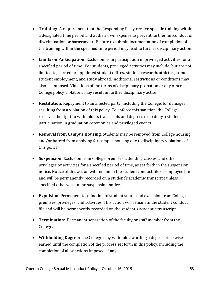- **Training:** A requirement that the Responding Party receive specific training within a designated time period and at their own expense to prevent further misconduct or discrimination or harassment. Failure to submit documentation of completion of the training within the specified time period may lead to further disciplinary action.
- **Limits on Participation:** Exclusion from participation in privileged activities for a specified period of time. For students, privileged activities may include, but are not limited to, elected or appointed student offices, student research, athletics, some student employment, and study abroad. Additional restrictions or conditions may also be imposed. Violations of the terms of disciplinary probation or any other College policy violations may result in further disciplinary action.
- **Restitution:** Repayment to an affected party, including the College, for damages resulting from a violation of this policy. To enforce this sanction, the College reserves the right to withhold its transcripts and degrees or to deny a student participation in graduation ceremonies and privileged events.
- **Removal from Campus Housing**: Students may be removed from College housing and/or barred from applying for campus housing due to disciplinary violations of this policy.
- **Suspension:** Exclusion from College premises, attending classes, and other privileges or activities for a specified period of time, as set forth in the suspension notice. Notice of this action will remain in the student conduct file or employee file and will be permanently recorded on a student's academic transcript unless specified otherwise in the suspension notice.
- **Expulsion:** Permanent termination of student status and exclusion from College premises, privileges, and activities. This action will remain in the student conduct file and will be permanently recorded on the student's academic transcript.
- **Termination**: Permanent separation of the faculty or staff member from the College.
- **Withholding Degree:** The College may withhold awarding a degree otherwise earned until the completion of the process set forth in this policy, including the completion of all sanctions imposed, if any.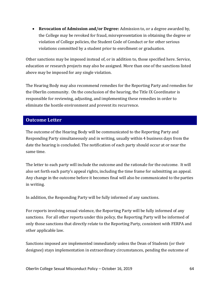• **Revocation of Admission and/or Degree:** Admission to, or a degree awarded by, the College may be revoked for fraud, misrepresentation in obtaining the degree or violation of College policies, the Student Code of Conduct or for other serious violations committed by a student prior to enrollment or graduation.

Other sanctions may be imposed instead of, or in addition to, those specified here. Service, education or research projects may also be assigned. More than one of the sanctions listed above may be imposed for any single violation.

The Hearing Body may also recommend remedies for the Reporting Party and remedies for the Oberlin community. On the conclusion of the hearing, the Title IX Coordinator is responsible for reviewing, adjusting, and implementing these remedies in order to eliminate the hostile environment and prevent its recurrence.

# <span id="page-63-0"></span>**Outcome Letter**

The outcome of the Hearing Body will be communicated to the Reporting Party and Responding Party simultaneously and in writing, usually within 4 business days from the date the hearing is concluded. The notification of each party should occur at or near the same time.

The letter to each party will include the outcome and the rationale for the outcome. It will also set forth each party's appeal rights, including the time frame for submitting an appeal. Any change in the outcome before it becomes final will also be communicated to the parties in writing.

In addition, the Responding Party will be fully informed of any sanctions.

For reports involving sexual violence, the Reporting Party will be fully informed of any sanctions. For all other reports under this policy, the Reporting Party will be informed of only those sanctions that directly relate to the Reporting Party, consistent with FERPA and other applicable law.

Sanctions imposed are implemented immediately unless the Dean of Students (or their designee) stays implementation in extraordinary circumstances, pending the outcome of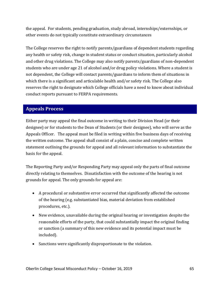the appeal. For students, pending graduation, study abroad, internships/externships, or other events do not typically constitute extraordinary circumstances

The College reserves the right to notify parents/guardians of dependent students regarding any health or safety risk, change in student status or conduct situation, particularly alcohol and other drug violations. The College may also notify parents/guardians of non-dependent students who are under age 21 of alcohol and/or drug policy violations. Where a student is not dependent, the College will contact parents/guardians to inform them of situations in which there is a significant and articulable health and/or safety risk. The College also reserves the right to designate which College officials have a need to know about individual conduct reports pursuant to FERPA requirements.

# <span id="page-64-0"></span>**Appeals Process**

Either party may appeal the final outcome in writing to their Division Head (or their designee) or for students to the Dean of Students (or their designee), who will serve as the Appeals Officer. The appeal must be filed in writing within five business days of receiving the written outcome. The appeal shall consist of a plain, concise and complete written statement outlining the grounds for appeal and all relevant information to substantiate the basis for the appeal.

The Reporting Party and/or Responding Party may appeal only the parts of final outcome directly relating to themselves. Dissatisfaction with the outcome of the hearing is not grounds for appeal. The only grounds for appeal are:

- A procedural or substantive error occurred that significantly affected the outcome of the hearing (e.g. substantiated bias, material deviation from established procedures, etc.).
- New evidence, unavailable during the original hearing or investigation despite the reasonable efforts of the party, that could substantially impact the original finding or sanction (a summary of this new evidence and its potential impact must be included).
- Sanctions were significantly disproportionate to the violation.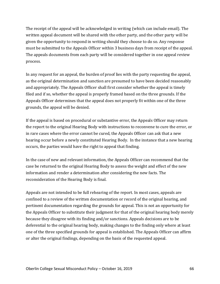The receipt of the appeal will be acknowledged in writing (which can include email). The written appeal document will be shared with the other party, and the other party will be given the opportunity to respond in writing should they choose to do so. Any response must be submitted to the Appeals Officer within 3 business days from receipt of the appeal. The appeals documents from each party will be considered together in one appeal review process.

In any request for an appeal, the burden of proof lies with the party requesting the appeal, as the original determination and sanction are presumed to have been decided reasonably and appropriately. The Appeals Officer shall first consider whether the appeal is timely filed and if so, whether the appeal is properly framed based on the three grounds. If the Appeals Officer determines that the appeal does not properly fit within one of the three grounds, the appeal will be denied.

If the appeal is based on procedural or substantive error, the Appeals Officer may return the report to the original Hearing Body with instructions to reconvene to cure the error, or in rare cases where the error cannot be cured, the Appeals Officer can ask that a new hearing occur before a newly constituted Hearing Body. In the instance that a new hearing occurs, the parties would have the right to appeal that finding.

In the case of new and relevant information, the Appeals Officer can recommend that the case be returned to the original Hearing Body to assess the weight and effect of the new information and render a determination after considering the new facts. The reconsideration of the Hearing Body is final.

Appeals are not intended to be full rehearing of the report. In most cases, appeals are confined to a review of the written documentation or record of the original hearing, and pertinent documentation regarding the grounds for appeal. This is not an opportunity for the Appeals Officer to substitute their judgment for that of the original hearing body merely because they disagree with its finding and/or sanctions. Appeals decisions are to be deferential to the original hearing body, making changes to the finding only where at least one of the three specified grounds for appeal is established. The Appeals Officer can affirm or alter the original findings, depending on the basis of the requested appeal.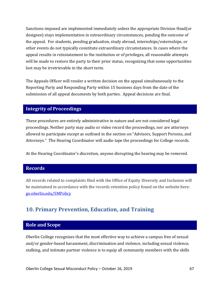Sanctions imposed are implemented immediately unless the appropriate Division Head(or designee) stays implementation in extraordinary circumstances, pending the outcome of the appeal. For students, pending graduation, study abroad, internships/externships, or other events do not typically constitute extraordinary circumstances. In cases where the appeal results in reinstatement to the institution or of privileges, all reasonable attempts will be made to restore the party to their prior status, recognizing that some opportunities lost may be irretrievable in the short term.

The Appeals Officer will render a written decision on the appeal simultaneously to the Reporting Party and Responding Party within 15 business days from the date of the submission of all appeal documents by both parties. Appeal decisions are final.

# <span id="page-66-0"></span>**Integrity of Proceedings**

These procedures are entirely administrative in nature and are not considered legal proceedings. Neither party may audio or video record the proceedings, nor are attorneys allowed to participate except as outlined in the section on "Advisors, Support Persons, and Attorneys." The Hearing Coordinator will audio tape the proceedings for College records.

<span id="page-66-1"></span>At the Hearing Coordinator's discretion, anyone disrupting the hearing may be removed.

# **Records**

All records related to complaints filed with the Office of Equity Diversity and Inclusion will be maintained in accordance with the records retention policy found on the website here: [go.oberlin.edu/SMPolicy](http://go.oberlin.edu/SMPolicy)

# <span id="page-66-2"></span>**10. Primary Prevention, Education, and Training**

# <span id="page-66-3"></span>**Role and Scope**

Oberlin College recognizes that the most effective way to achieve a campus free of sexual and/or gender-based harassment, discrimination and violence, including sexual violence, stalking, and intimate partner violence is to equip all community members with the skills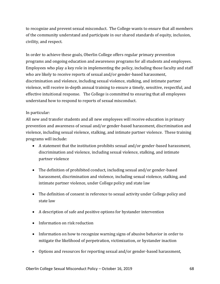to recognize and prevent sexual misconduct. The College wants to ensure that all members of the community understand and participate in our shared standards of equity, inclusion, civility, and respect.

In order to achieve these goals, Oberlin College offers regular primary prevention programs and ongoing education and awareness programs for all students and employees. Employees who play a key role in implementing the policy, including those faculty and staff who are likely to receive reports of sexual and/or gender-based harassment, discrimination and violence, including sexual violence, stalking, and intimate partner violence, will receive in-depth annual training to ensure a timely, sensitive, respectful, and effective intuitional response. The College is committed to ensuring that all employees understand how to respond to reports of sexual misconduct.

### In particular:

All new and transfer students and all new employees will receive education in primary prevention and awareness of sexual and/or gender-based harassment, discrimination and violence, including sexual violence, stalking, and intimate partner violence. These training programs will include:

- A statement that the institution prohibits sexual and/or gender-based harassment, discrimination and violence, including sexual violence, stalking, and intimate partner violence
- The definition of prohibited conduct, including sexual and/or gender-based harassment, discrimination and violence, including sexual violence, stalking, and intimate partner violence, under College policy and state law
- The definition of consent in reference to sexual activity under College policy and state law
- A description of safe and positive options for bystander intervention
- Information on risk reduction
- Information on how to recognize warning signs of abusive behavior in order to mitigate the likelihood of perpetration, victimization, or bystander inaction
- Options and resources for reporting sexual and/or gender-based harassment,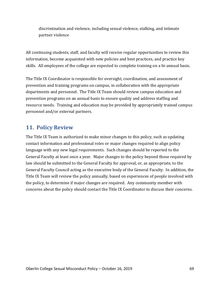discrimination and violence, including sexual violence, stalking, and intimate partner violence

All continuing students, staff, and faculty will receive regular opportunities to review this information, become acquainted with new policies and best practices, and practice key skills. All employees of the college are expected to complete training on a bi-annual basis.

The Title IX Coordinator is responsible for oversight, coordination, and assessment of prevention and training programs on campus, in collaboration with the appropriate departments and personnel. The Title IX Team should review campus education and prevention programs on an annual basis to ensure quality and address staffing and resource needs. Training and education may be provided by appropriately trained campus personnel and/or external partners.

# <span id="page-68-0"></span>**11. Policy Review**

The Title IX Team is authorized to make minor changes to this policy, such as updating contact information and professional roles or major changes required to align policy language with any new legal requirements. Such changes should be reported to the General Faculty at least once a year. Major changes to the policy beyond those required by law should be submitted to the General Faculty for approval, or, as appropriate, to the General Faculty Council acting as the executive body of the General Faculty. In addition, the Title IX Team will review the policy annually, based on experiences of people involved with the policy, to determine if major changes are required. Any community member with concerns about the policy should contact the Title IX Coordinator to discuss their concerns.